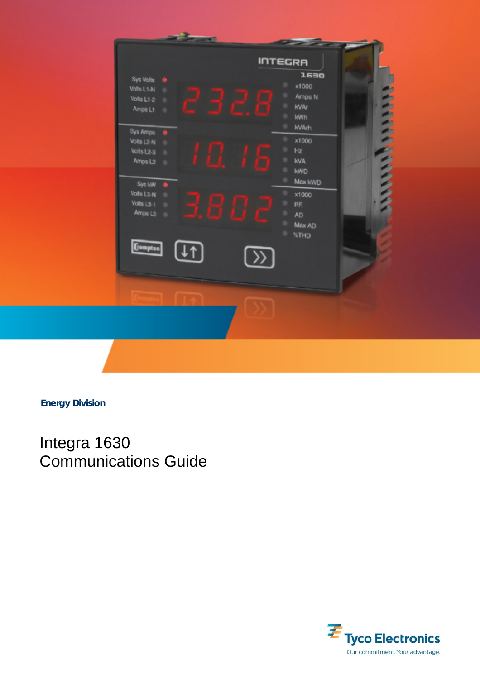

**Energy Division** 

Integra 1630 Communications Guide

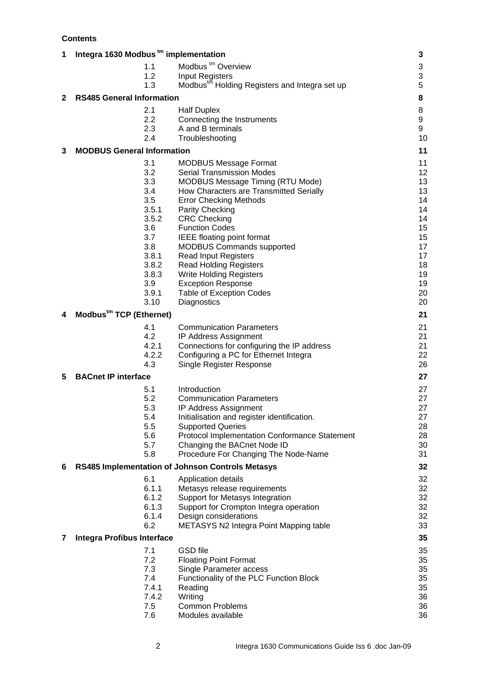**Contents** 

| Integra 1630 Modbus tm implementation<br>1 |                                     |                                                           |    |  |
|--------------------------------------------|-------------------------------------|-----------------------------------------------------------|----|--|
|                                            | 1.1                                 | Modbus <sup>tm</sup> Overview                             | 3  |  |
|                                            | 1.2                                 | Input Registers                                           | 3  |  |
|                                            | 1.3                                 | Modbus <sup>tm</sup> Holding Registers and Integra set up | 5  |  |
| 2                                          | <b>RS485 General Information</b>    |                                                           | 8  |  |
|                                            | 2.1                                 | <b>Half Duplex</b>                                        | 8  |  |
|                                            | 2.2                                 | Connecting the Instruments                                | 9  |  |
|                                            | 2.3                                 | A and B terminals                                         | 9  |  |
|                                            | 2.4                                 | Troubleshooting                                           | 10 |  |
| 3                                          | <b>MODBUS General Information</b>   |                                                           | 11 |  |
|                                            | 3.1                                 | <b>MODBUS Message Format</b>                              | 11 |  |
|                                            | 3.2                                 | <b>Serial Transmission Modes</b>                          | 12 |  |
|                                            | 3.3                                 | <b>MODBUS Message Timing (RTU Mode)</b>                   | 13 |  |
|                                            | 3.4                                 | How Characters are Transmitted Serially                   | 13 |  |
|                                            | 3.5                                 | <b>Error Checking Methods</b>                             | 14 |  |
|                                            | 3.5.1                               | Parity Checking                                           | 14 |  |
|                                            | 3.5.2                               | <b>CRC Checking</b>                                       | 14 |  |
|                                            | 3.6                                 | <b>Function Codes</b>                                     | 15 |  |
|                                            | 3.7                                 | <b>IEEE floating point format</b>                         | 15 |  |
|                                            | 3.8                                 | <b>MODBUS Commands supported</b>                          | 17 |  |
|                                            | 3.8.1                               | <b>Read Input Registers</b>                               | 17 |  |
|                                            | 3.8.2                               | <b>Read Holding Registers</b>                             | 18 |  |
|                                            | 3.8.3                               | <b>Write Holding Registers</b>                            | 19 |  |
|                                            | 3.9                                 | <b>Exception Response</b>                                 | 19 |  |
|                                            | 3.9.1                               | <b>Table of Exception Codes</b>                           | 20 |  |
|                                            | 3.10                                | Diagnostics                                               | 20 |  |
| 4                                          | Modbus <sup>tm</sup> TCP (Ethernet) |                                                           | 21 |  |
|                                            | 4.1                                 | <b>Communication Parameters</b>                           | 21 |  |
|                                            | 4.2                                 | IP Address Assignment                                     | 21 |  |
|                                            | 4.2.1                               | Connections for configuring the IP address                | 21 |  |
|                                            | 4.2.2                               | Configuring a PC for Ethernet Integra                     | 22 |  |
|                                            | 4.3                                 | Single Register Response                                  | 26 |  |
| 5                                          | <b>BACnet IP interface</b>          |                                                           | 27 |  |
|                                            | 5.1                                 | Introduction                                              | 27 |  |
|                                            | 5.2                                 | <b>Communication Parameters</b>                           | 27 |  |
|                                            | 5.3                                 | IP Address Assignment                                     | 27 |  |
|                                            | 5.4                                 | Initialisation and register identification.               | 27 |  |
|                                            | 5.5                                 | <b>Supported Queries</b>                                  | 28 |  |
|                                            | 5.6                                 | <b>Protocol Implementation Conformance Statement</b>      | 28 |  |
|                                            | 5.7                                 | Changing the BACnet Node ID                               | 30 |  |
|                                            | 5.8                                 | Procedure For Changing The Node-Name                      | 31 |  |
| 6                                          |                                     | RS485 Implementation of Johnson Controls Metasys          | 32 |  |
|                                            | 6.1                                 | Application details                                       | 32 |  |
|                                            | 6.1.1                               | Metasys release requirements                              | 32 |  |
|                                            | 6.1.2                               | Support for Metasys Integration                           | 32 |  |
|                                            | 6.1.3                               | Support for Crompton Integra operation                    | 32 |  |
|                                            | 6.1.4                               | Design considerations                                     | 32 |  |
|                                            | 6.2                                 | METASYS N2 Integra Point Mapping table                    | 33 |  |
| 7                                          | <b>Integra Profibus Interface</b>   |                                                           | 35 |  |
|                                            | 7.1                                 | <b>GSD</b> file                                           | 35 |  |
|                                            | 7.2                                 | <b>Floating Point Format</b>                              | 35 |  |
|                                            | 7.3                                 | Single Parameter access                                   | 35 |  |
|                                            | 7.4                                 | Functionality of the PLC Function Block                   | 35 |  |
|                                            | 7.4.1                               | Reading                                                   | 35 |  |
|                                            | 7.4.2                               | Writing                                                   | 36 |  |
|                                            | 7.5                                 | <b>Common Problems</b>                                    | 36 |  |
|                                            | 7.6                                 | Modules available                                         | 36 |  |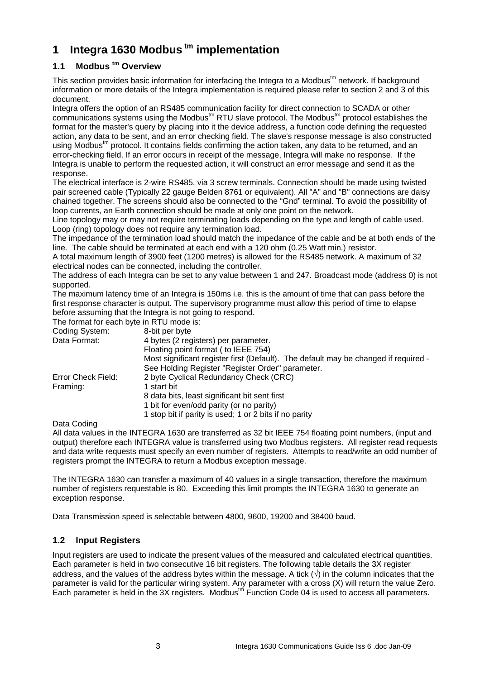# **1 Integra 1630 Modbus tm implementation**

## **1.1 Modbus <sup>tm</sup> Overview**

This section provides basic information for interfacing the Integra to a Modbus<sup>tm</sup> network. If background information or more details of the Integra implementation is required please refer to section 2 and 3 of this document.

Integra offers the option of an RS485 communication facility for direct connection to SCADA or other  ${\rm comm}$ unications systems using the Modbus<sup>tm</sup> RTU slave protocol. The Modbus<sup>tm</sup> protocol establishes the format for the master's query by placing into it the device address, a function code defining the requested action, any data to be sent, and an error checking field. The slave's response message is also constructed using Modbus<sup>tm</sup> protocol. It contains fields confirming the action taken, any data to be returned, and an error-checking field. If an error occurs in receipt of the message, Integra will make no response. If the Integra is unable to perform the requested action, it will construct an error message and send it as the response.

The electrical interface is 2-wire RS485, via 3 screw terminals. Connection should be made using twisted pair screened cable (Typically 22 gauge Belden 8761 or equivalent). All "A" and "B" connections are daisy chained together. The screens should also be connected to the "Gnd" terminal. To avoid the possibility of loop currents, an Earth connection should be made at only one point on the network.

Line topology may or may not require terminating loads depending on the type and length of cable used. Loop (ring) topology does not require any termination load.

The impedance of the termination load should match the impedance of the cable and be at both ends of the line. The cable should be terminated at each end with a 120 ohm (0.25 Watt min.) resistor.

A total maximum length of 3900 feet (1200 metres) is allowed for the RS485 network. A maximum of 32 electrical nodes can be connected, including the controller.

The address of each Integra can be set to any value between 1 and 247. Broadcast mode (address 0) is not supported.

The maximum latency time of an Integra is 150ms i.e. this is the amount of time that can pass before the first response character is output. The supervisory programme must allow this period of time to elapse before assuming that the Integra is not going to respond.

The format for each byte in RTU mode is:

| Coding System:     | 8-bit per byte                                                                      |
|--------------------|-------------------------------------------------------------------------------------|
| Data Format:       | 4 bytes (2 registers) per parameter.                                                |
|                    | Floating point format (to IEEE 754)                                                 |
|                    | Most significant register first (Default). The default may be changed if required - |
|                    | See Holding Register "Register Order" parameter.                                    |
| Error Check Field: | 2 byte Cyclical Redundancy Check (CRC)                                              |
| Framing:           | 1 start bit                                                                         |
|                    | 8 data bits, least significant bit sent first                                       |
|                    | 1 bit for even/odd parity (or no parity)                                            |
|                    | 1 stop bit if parity is used; 1 or 2 bits if no parity                              |

Data Coding

All data values in the INTEGRA 1630 are transferred as 32 bit IEEE 754 floating point numbers, (input and output) therefore each INTEGRA value is transferred using two Modbus registers. All register read requests and data write requests must specify an even number of registers. Attempts to read/write an odd number of registers prompt the INTEGRA to return a Modbus exception message.

The INTEGRA 1630 can transfer a maximum of 40 values in a single transaction, therefore the maximum number of registers requestable is 80. Exceeding this limit prompts the INTEGRA 1630 to generate an exception response.

Data Transmission speed is selectable between 4800, 9600, 19200 and 38400 baud.

## **1.2 Input Registers**

Input registers are used to indicate the present values of the measured and calculated electrical quantities. Each parameter is held in two consecutive 16 bit registers. The following table details the 3X register address, and the values of the address bytes within the message. A tick  $(\sqrt{})$  in the column indicates that the parameter is valid for the particular wiring system. Any parameter with a cross (X) will return the value Zero. Each parameter is held in the 3X registers. Modbus<sup>tm</sup> Function Code 04 is used to access all parameters.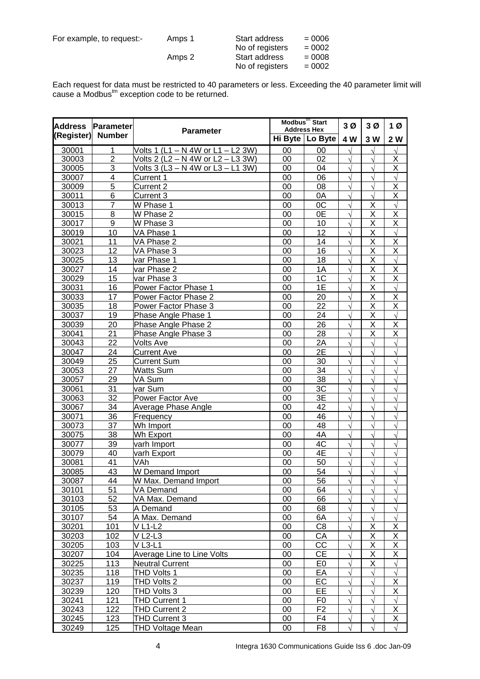| For example, to request:- | Amps 1 | Start address   | $= 0006$ |
|---------------------------|--------|-----------------|----------|
|                           |        | No of registers | $= 0002$ |
|                           | Amps 2 | Start address   | $= 0008$ |
|                           |        | No of registers | $= 0002$ |

Each request for data must be restricted to 40 parameters or less. Exceeding the 40 parameter limit will cause a Modbus $<sup>tm</sup>$  exception code to be returned.</sup>

| <b>Address</b> | Parameter               | <b>Parameter</b>                   | Modbus <sup>tm</sup> Start<br><b>Address Hex</b> |                   | 3 <sub>0</sub> | 3Ø                      | 1Ø                      |
|----------------|-------------------------|------------------------------------|--------------------------------------------------|-------------------|----------------|-------------------------|-------------------------|
| (Register)     | <b>Number</b>           |                                    |                                                  | Hi Byte   Lo Byte | 4 W            | 3 W                     | 2 W                     |
| 30001          | 1                       | Volts 1 (L1 - N 4W or L1 - L2 3W)  | 00                                               | 00                | $\sqrt{ }$     | $\sqrt{ }$              | $\sqrt{}$               |
| 30003          | $\overline{2}$          | Volts 2 (L2 - N 4W or L2 - L3 3W)  | 00                                               | 02                |                | $\lambda$               | Χ                       |
| 30005          | $\overline{3}$          | Volts 3 (L3 - N 4W or L3 - L1 3W)  | 00                                               | 04                | $\sqrt{2}$     | $\sqrt{ }$              | $\overline{\mathsf{X}}$ |
| 30007          | $\overline{\mathbf{4}}$ | <b>Current 1</b>                   | 00                                               | 06                | $\sqrt{ }$     | $\sqrt{ }$              | $\sqrt{ }$              |
| 30009          | 5                       | Current 2                          | 00                                               | 08                | $\sqrt{ }$     | $\sqrt{ }$              | X                       |
| 30011          | 6                       | Current 3                          | 00                                               | 0A                | $\sqrt{}$      | $\sqrt{ }$              | Χ                       |
| 30013          | $\overline{7}$          | W Phase 1                          | 00                                               | OC                | $\sqrt{ }$     | $\overline{\mathsf{x}}$ | $\sqrt{}$               |
| 30015          | 8                       | W Phase 2                          | 00                                               | 0E                | $\sqrt{ }$     | $\overline{\mathsf{x}}$ | $\overline{\mathsf{x}}$ |
| 30017          | 9                       | W Phase 3                          | 00                                               | 10                | $\sqrt{ }$     | X                       | $\overline{\mathsf{X}}$ |
| 30019          | 10                      | VA Phase 1                         | 00                                               | 12                |                | X                       | $\sqrt{ }$              |
| 30021          | 11                      | VA Phase 2                         | 00                                               | 14                | V              | Χ                       | Χ                       |
| 30023          | 12                      | VA Phase 3                         | 00                                               | $\overline{16}$   | $\sqrt{}$      | $\overline{\mathsf{x}}$ | $\overline{\mathsf{x}}$ |
| 30025          | 13                      | var Phase 1                        | 00                                               | 18                | $\sqrt{}$      | $\overline{\mathsf{x}}$ | $\sqrt{}$               |
| 30027          | 14                      | var Phase 2                        | 00                                               | 1A                | $\sqrt{ }$     | X                       | X                       |
| 30029          | 15                      | var Phase 3                        | 00                                               | 1 <sup>C</sup>    | $\sqrt{ }$     | X                       | X                       |
| 30031          | 16                      | Power Factor Phase 1               | 00                                               | 1E                | $\sqrt{}$      | Χ                       | $\sqrt{ }$              |
| 30033          | 17                      | Power Factor Phase 2               | 00                                               | 20                | $\sqrt{ }$     | $\overline{\mathsf{x}}$ | $\overline{\mathsf{x}}$ |
| 30035          | 18                      | Power Factor Phase 3               | 00                                               | 22                | N              | $\overline{\mathsf{x}}$ | $\overline{\mathsf{x}}$ |
| 30037          | 19                      | Phase Angle Phase 1                | 00                                               | 24                |                | $\overline{\mathsf{x}}$ | $\sqrt{}$               |
| 30039          | 20                      | Phase Angle Phase 2                | 00                                               | 26                |                | X                       | Χ                       |
| 30041          | 21                      | Phase Angle Phase 3                | 00                                               | 28                | V              | X                       | X                       |
| 30043          | 22                      | <b>Volts Ave</b>                   | 00                                               | 2A                | $\sqrt{ }$     | $\sqrt{2}$              | $\sqrt{}$               |
| 30047          | 24                      | <b>Current Ave</b>                 | 00                                               | 2E                |                |                         | $\sqrt{}$               |
| 30049          | $\overline{25}$         | <b>Current Sum</b>                 | 00                                               | 30                |                |                         | $\sqrt{ }$              |
| 30053          | 27                      | <b>Watts Sum</b>                   | 00                                               | 34                | $\sqrt{ }$     | $\sqrt{ }$              | $\sqrt{}$               |
| 30057          | 29                      | VA Sum                             | 00                                               | 38                | $\sqrt{}$      | $\sqrt{}$               | $\sqrt{}$               |
| 30061          | 31                      | var Sum                            | 00                                               | 3C                | $\sqrt{ }$     | $\mathcal{N}$           | $\sqrt{}$               |
| 30063          | 32                      | Power Factor Ave                   | 00                                               | 3E                | $\sqrt{}$      |                         | $\sqrt{}$               |
| 30067          | 34                      | Average Phase Angle                | 00                                               | 42                |                |                         | $\sqrt{}$               |
| 30071          | 36                      | Frequency                          | 00                                               | 46                |                |                         | $\sqrt{2}$              |
| 30073          | 37                      | Wh Import                          | 00                                               | 48                | V              | $\sqrt{}$               | $\sqrt{}$               |
| 30075          | 38                      | Wh Export                          | 00                                               | 4A                | N              |                         | $\sqrt{ }$              |
| 30077          | 39                      | varh Import                        | 00                                               | 4C                | $\sqrt{ }$     | $\sqrt{ }$              | $\sqrt{}$               |
| 30079          | 40                      | varh Export                        | 00                                               | 4E                | $\sqrt{ }$     | $\sqrt{ }$              | $\sqrt{}$               |
| 30081          | 41                      | VAh                                | 00                                               | 50                | $\sqrt{}$      | $\sqrt{ }$              | $\sqrt{}$               |
| 30085          | 43                      | W Demand Import                    | 00                                               | 54                | $\sqrt{}$      | $\sqrt{}$               | $\sqrt{}$               |
| 30087          | 44                      | W Max. Demand Import               | 00                                               | 56                | V              |                         | V                       |
| 30101          | 51                      | VA Demand                          | 00                                               | 64                |                | V                       |                         |
| 30103          | 52                      | VA Max. Demand                     | $00\,$                                           | 66                |                |                         |                         |
| 30105          | 53                      | A Demand                           | 00                                               | 68                |                |                         | V                       |
| 30107          | 54                      | A Max. Demand                      | 00                                               | 6A                |                |                         |                         |
| 30201          | 101                     | <b>VL1-L2</b>                      | 00                                               | C <sub>8</sub>    |                | Χ                       | Χ                       |
| 30203          | 102                     | $\overline{V}$ L2-L3               | 00                                               | CA                |                | X                       | X                       |
| 30205          | 103                     | $V$ L <sub>3</sub> -L <sub>1</sub> | 00                                               | CC                |                | Χ                       | X                       |
| 30207          | 104                     | Average Line to Line Volts         | 00                                               | CЕ                | $\sqrt{}$      |                         | Χ                       |
| 30225          | 113                     | <b>Neutral Current</b>             | 00                                               | E <sub>0</sub>    | $\sqrt{ }$     | $\underline{X}$<br>Χ    |                         |
|                |                         |                                    |                                                  |                   |                |                         | $\sqrt{}$               |
| 30235          | 118                     | THD Volts 1                        | 00                                               | EA                | N              |                         | $\sqrt{}$               |
| 30237          | 119                     | THD Volts 2                        | $00\,$                                           | EC                |                |                         | $\overline{\mathsf{x}}$ |
| 30239          | 120                     | THD Volts 3                        | $00\,$                                           | EE                |                |                         | $\overline{\mathsf{X}}$ |
| 30241          | 121                     | THD Current 1                      | 00                                               | F0                |                |                         | $\sqrt{}$               |
| 30243          | 122                     | THD Current 2                      | 00                                               | F <sub>2</sub>    | $\sqrt{ }$     |                         | Χ                       |
| 30245          | 123                     | THD Current 3                      | 00                                               | F4                |                | $\mathcal{L}$           | $\overline{X}$          |
| 30249          | 125                     | THD Voltage Mean                   | 00                                               | F <sub>8</sub>    |                | $\sqrt{}$               |                         |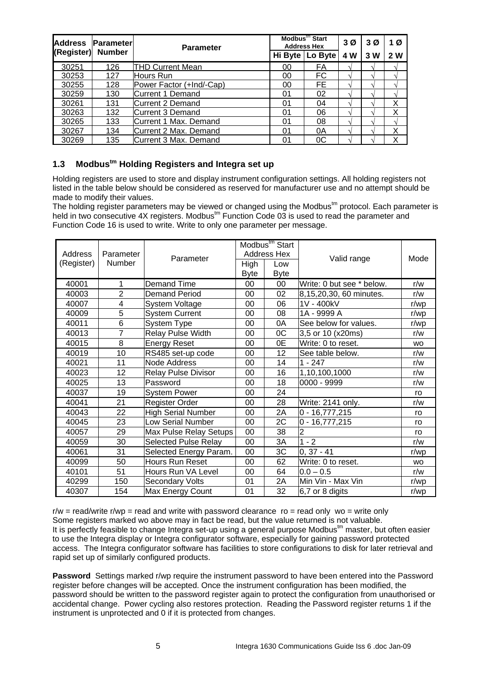| <b>Address</b> | <b>Parameter</b> | <b>Parameter</b>         | Modbus <sup>tm</sup> Start<br><b>Address Hex</b> | 3 <sub>0</sub> | 3Ø  | 1 Ø                                           |     |
|----------------|------------------|--------------------------|--------------------------------------------------|----------------|-----|-----------------------------------------------|-----|
| (Register)     | <b>Number</b>    |                          | Hi Byte                                          | Lo Byte        | 4 W | 3 W<br>$\mathbf \Lambda$<br>$\mathbf \Lambda$ | 2 W |
| 30251          | 126              | <b>THD Current Mean</b>  | 00                                               | FA             |     |                                               |     |
| 30253          | 127              | Hours Run                | 00                                               | FC             |     |                                               |     |
| 30255          | 128              | Power Factor (+Ind/-Cap) | 00                                               | FE             |     |                                               |     |
| 30259          | 130              | Current 1 Demand         | 01                                               | 02             |     |                                               |     |
| 30261          | 131              | Current 2 Demand         | 01                                               | 04             |     |                                               | Χ   |
| 30263          | 132              | Current 3 Demand         | 01                                               | 06             |     | $\mathcal{L}$                                 | Χ   |
| 30265          | 133              | Current 1 Max. Demand    | 01                                               | 08             |     | $\mathcal{L}$                                 |     |
| 30267          | 134              | Current 2 Max. Demand    | 01                                               | 0A             |     | $\mathcal{L}$                                 | x   |
| 30269          | 135              | Current 3 Max. Demand    | 01                                               | 0C             |     |                                               | v   |

# **1.3 Modbustm Holding Registers and Integra set up**

Holding registers are used to store and display instrument configuration settings. All holding registers not listed in the table below should be considered as reserved for manufacturer use and no attempt should be made to modify their values.

The holding register parameters may be viewed or changed using the Modbus $<sup>tm</sup>$  protocol. Each parameter is</sup> held in two consecutive 4X registers. Modbus<sup>tm</sup> Function Code 03 is used to read the parameter and Function Code 16 is used to write. Write to only one parameter per message.

| Address<br>(Register) | Modbus <sup>tm</sup> Start<br>Parameter<br>Address Hex<br>Parameter<br>Number<br>High<br>Low |                             |                   | Valid range       | Mode                      |           |
|-----------------------|----------------------------------------------------------------------------------------------|-----------------------------|-------------------|-------------------|---------------------------|-----------|
| 40001                 | 1                                                                                            | <b>Demand Time</b>          | <b>Byte</b><br>00 | <b>Byte</b><br>00 | Write: 0 but see * below. | r/w       |
| 40003                 | $\overline{2}$                                                                               | <b>Demand Period</b>        | 00                | 02                |                           | r/w       |
|                       |                                                                                              |                             |                   |                   | 8,15,20,30, 60 minutes.   |           |
| 40007                 | 4                                                                                            | System Voltage              | $00\,$            | 06                | 1V - 400kV                | r/wp      |
| 40009                 | 5                                                                                            | <b>System Current</b>       | 00                | 08                | 1A - 9999 A               | r/wp      |
| 40011                 | 6                                                                                            | System Type                 | 00                | 0A                | See below for values.     | r/wp      |
| 40013                 | $\overline{7}$                                                                               | <b>Relay Pulse Width</b>    | 00                | OC                | 3,5 or 10 (x20ms)         | r/w       |
| 40015                 | 8                                                                                            | <b>Energy Reset</b>         | $00\,$            | 0E                | Write: 0 to reset.        | <b>WO</b> |
| 40019                 | 10                                                                                           | RS485 set-up code           | $00\,$            | 12                | See table below.          | r/w       |
| 40021                 | 11                                                                                           | Node Address                | $00\,$            | 14                | $1 - 247$                 | r/w       |
| 40023                 | 12                                                                                           | <b>Relay Pulse Divisor</b>  | 00                | 16                | 1,10,100,1000             | r/w       |
| 40025                 | 13                                                                                           | Password                    | 00                | 18                | 0000 - 9999               | r/w       |
| 40037                 | 19                                                                                           | <b>System Power</b>         | 00                | 24                |                           | ro        |
| 40041                 | 21                                                                                           | Register Order              | 00                | 28                | Write: 2141 only.         | r/w       |
| 40043                 | 22                                                                                           | <b>High Serial Number</b>   | 00                | 2A                | $0 - 16,777,215$          | ro        |
| 40045                 | 23                                                                                           | <b>Low Serial Number</b>    | 00                | 2C                | $0 - 16,777,215$          | ro        |
| 40057                 | 29                                                                                           | Max Pulse Relay Setups      | $00\,$            | 38                | $\overline{2}$            | ro        |
| 40059                 | 30                                                                                           | <b>Selected Pulse Relay</b> | 00                | ЗA                | $1 - 2$                   | r/w       |
| 40061                 | 31                                                                                           | Selected Energy Param.      | $00\,$            | 3C                | $0, 37 - 41$              | r/wp      |
| 40099                 | 50                                                                                           | Hours Run Reset             | $00\,$            | 62                | Write: 0 to reset.        | <b>WO</b> |
| 40101                 | 51                                                                                           | Hours Run VA Level          | 00                | 64                | $0.0 - 0.5$               | r/w       |
| 40299                 | 150                                                                                          | <b>Secondary Volts</b>      | 01                | 2A                | Min Vin - Max Vin         | r/wp      |
| 40307                 | 154                                                                                          | Max Energy Count            | 01                | 32                | 6,7 or 8 digits           | r/wp      |

 $r/w = read/write$   $r/wp = read$  and write with password clearance  $ro = read$  only  $wo = write$  only Some registers marked wo above may in fact be read, but the value returned is not valuable. It is perfectly feasible to change Integra set-up using a general purpose Modbustm master, but often easier to use the Integra display or Integra configurator software, especially for gaining password protected access. The Integra configurator software has facilities to store configurations to disk for later retrieval and rapid set up of similarly configured products.

**Password** Settings marked r/wp require the instrument password to have been entered into the Password register before changes will be accepted. Once the instrument configuration has been modified, the password should be written to the password register again to protect the configuration from unauthorised or accidental change. Power cycling also restores protection. Reading the Password register returns 1 if the instrument is unprotected and 0 if it is protected from changes.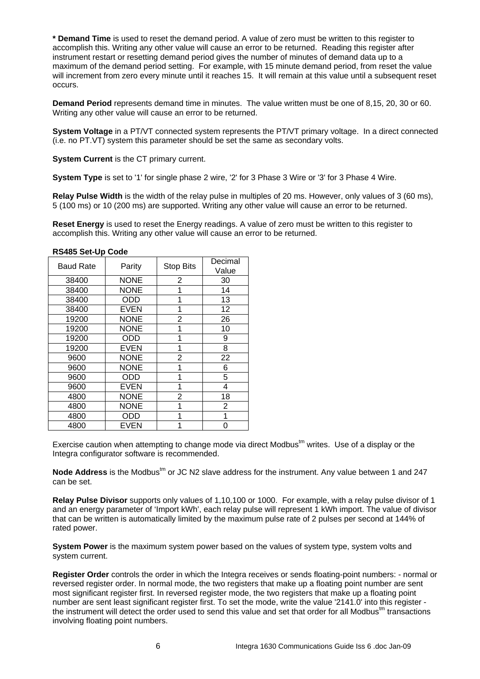**\* Demand Time** is used to reset the demand period. A value of zero must be written to this register to accomplish this. Writing any other value will cause an error to be returned. Reading this register after instrument restart or resetting demand period gives the number of minutes of demand data up to a maximum of the demand period setting. For example, with 15 minute demand period, from reset the value will increment from zero every minute until it reaches 15. It will remain at this value until a subsequent reset occurs.

**Demand Period** represents demand time in minutes. The value written must be one of 8,15, 20, 30 or 60. Writing any other value will cause an error to be returned.

**System Voltage** in a PT/VT connected system represents the PT/VT primary voltage. In a direct connected (i.e. no PT.VT) system this parameter should be set the same as secondary volts.

**System Current** is the CT primary current.

**System Type** is set to '1' for single phase 2 wire, '2' for 3 Phase 3 Wire or '3' for 3 Phase 4 Wire.

**Relay Pulse Width** is the width of the relay pulse in multiples of 20 ms. However, only values of 3 (60 ms), 5 (100 ms) or 10 (200 ms) are supported. Writing any other value will cause an error to be returned.

**Reset Energy** is used to reset the Energy readings. A value of zero must be written to this register to accomplish this. Writing any other value will cause an error to be returned.

| <b>Baud Rate</b> | Parity      | <b>Stop Bits</b> | Decimal |
|------------------|-------------|------------------|---------|
|                  |             |                  | Value   |
| 38400            | <b>NONE</b> | 2                | 30      |
| 38400            | <b>NONE</b> | 1                | 14      |
| 38400            | ODD         | 1                | 13      |
| 38400            | <b>EVEN</b> | 1                | 12      |
| 19200            | <b>NONE</b> | 2                | 26      |
| 19200            | <b>NONE</b> | 1                | 10      |
| 19200            | ODD         | 1                | 9       |
| 19200            | <b>EVEN</b> | 1                | 8       |
| 9600             | <b>NONE</b> | 2                | 22      |
| 9600             | <b>NONE</b> | 1                | 6       |
| 9600             | ODD         | 1                | 5       |
| 9600             | EVEN        | 1                | 4       |
| 4800             | <b>NONE</b> | 2                | 18      |
| 4800             | <b>NONE</b> | 1                | 2       |
| 4800             | ODD         |                  | 1       |
| 4800             | EVEN        |                  | 0       |

#### **RS485 Set-Up Code**

Exercise caution when attempting to change mode via direct Modbus $<sup>tm</sup>$  writes. Use of a display or the</sup> Integra configurator software is recommended.

Node Address is the Modbus<sup>tm</sup> or JC N2 slave address for the instrument. Any value between 1 and 247 can be set.

**Relay Pulse Divisor** supports only values of 1,10,100 or 1000. For example, with a relay pulse divisor of 1 and an energy parameter of 'Import kWh', each relay pulse will represent 1 kWh import. The value of divisor that can be written is automatically limited by the maximum pulse rate of 2 pulses per second at 144% of rated power.

**System Power** is the maximum system power based on the values of system type, system volts and system current.

**Register Order** controls the order in which the Integra receives or sends floating-point numbers: - normal or reversed register order. In normal mode, the two registers that make up a floating point number are sent most significant register first. In reversed register mode, the two registers that make up a floating point number are sent least significant register first. To set the mode, write the value '2141.0' into this register the instrument will detect the order used to send this value and set that order for all Modbus<sup>tm</sup> transactions involving floating point numbers.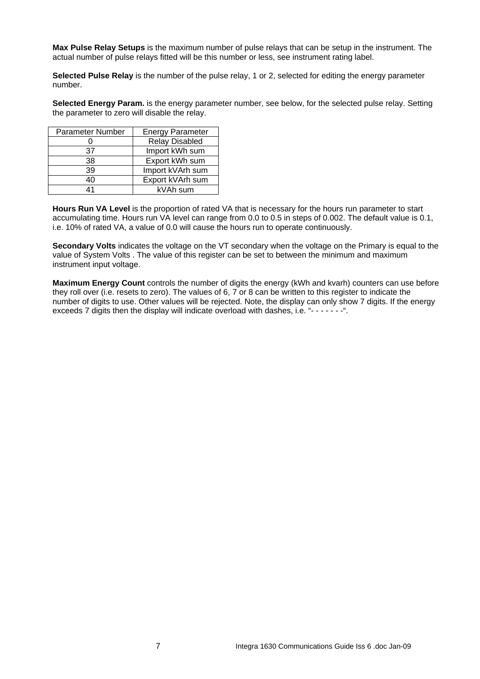**Max Pulse Relay Setups** is the maximum number of pulse relays that can be setup in the instrument. The actual number of pulse relays fitted will be this number or less, see instrument rating label.

**Selected Pulse Relay** is the number of the pulse relay, 1 or 2, selected for editing the energy parameter number.

**Selected Energy Param.** is the energy parameter number, see below, for the selected pulse relay. Setting the parameter to zero will disable the relay.

| Parameter Number | <b>Energy Parameter</b> |
|------------------|-------------------------|
|                  | <b>Relay Disabled</b>   |
| 37               | Import kWh sum          |
| 38               | Export kWh sum          |
| 39               | Import kVArh sum        |
| 40               | Export kVArh sum        |
| 41               | kVAh sum                |

**Hours Run VA Level** is the proportion of rated VA that is necessary for the hours run parameter to start accumulating time. Hours run VA level can range from 0.0 to 0.5 in steps of 0.002. The default value is 0.1, i.e. 10% of rated VA, a value of 0.0 will cause the hours run to operate continuously.

**Secondary Volts** indicates the voltage on the VT secondary when the voltage on the Primary is equal to the value of System Volts . The value of this register can be set to between the minimum and maximum instrument input voltage.

**Maximum Energy Count** controls the number of digits the energy (kWh and kvarh) counters can use before they roll over (i.e. resets to zero). The values of 6, 7 or 8 can be written to this register to indicate the number of digits to use. Other values will be rejected. Note, the display can only show 7 digits. If the energy exceeds 7 digits then the display will indicate overload with dashes, i.e. "-------".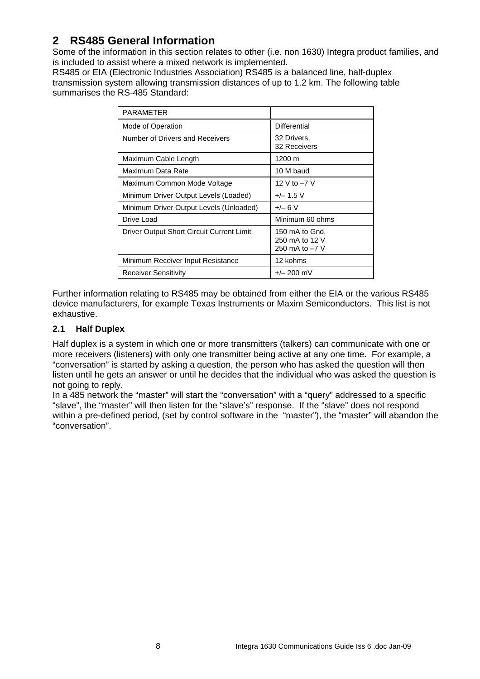# **2 RS485 General Information**

Some of the information in this section relates to other (i.e. non 1630) Integra product families, and is included to assist where a mixed network is implemented.

RS485 or EIA (Electronic Industries Association) RS485 is a balanced line, half-duplex transmission system allowing transmission distances of up to 1.2 km. The following table summarises the RS-485 Standard:

| <b>PARAMETER</b>                          |                                                    |
|-------------------------------------------|----------------------------------------------------|
| Mode of Operation                         | <b>Differential</b>                                |
| Number of Drivers and Receivers           | 32 Drivers,<br>32 Receivers                        |
| Maximum Cable Length                      | 1200 m                                             |
| Maximum Data Rate                         | 10 M baud                                          |
| Maximum Common Mode Voltage               | 12 V to -7 V                                       |
| Minimum Driver Output Levels (Loaded)     | $+/- 1.5$ V                                        |
| Minimum Driver Output Levels (Unloaded)   | $+/- 6V$                                           |
| Drive Load                                | Minimum 60 ohms                                    |
| Driver Output Short Circuit Current Limit | 150 mA to Gnd,<br>250 mA to 12 V<br>250 mA to -7 V |
| Minimum Receiver Input Resistance         | 12 kohms                                           |
| Receiver Sensitivity                      | $+/- 200$ mV                                       |

Further information relating to RS485 may be obtained from either the EIA or the various RS485 device manufacturers, for example Texas Instruments or Maxim Semiconductors. This list is not exhaustive.

# **2.1 Half Duplex**

Half duplex is a system in which one or more transmitters (talkers) can communicate with one or more receivers (listeners) with only one transmitter being active at any one time. For example, a "conversation" is started by asking a question, the person who has asked the question will then listen until he gets an answer or until he decides that the individual who was asked the question is not going to reply.

In a 485 network the "master" will start the "conversation" with a "query" addressed to a specific "slave", the "master" will then listen for the "slave's" response. If the "slave" does not respond within a pre-defined period, (set by control software in the "master"), the "master" will abandon the "conversation".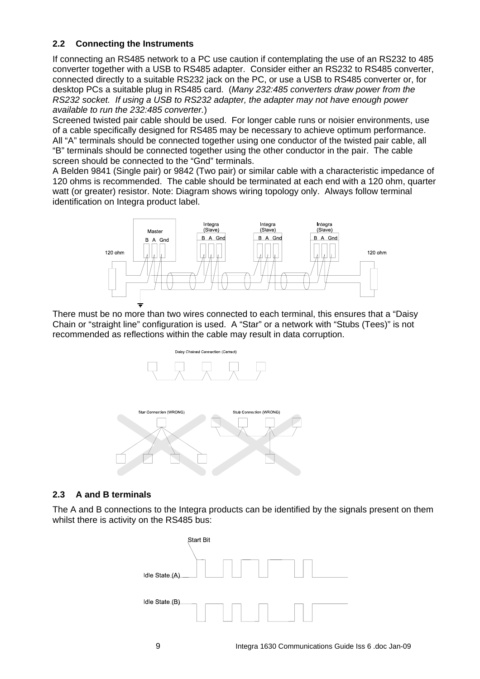## **2.2 Connecting the Instruments**

If connecting an RS485 network to a PC use caution if contemplating the use of an RS232 to 485 converter together with a USB to RS485 adapter. Consider either an RS232 to RS485 converter, connected directly to a suitable RS232 jack on the PC, or use a USB to RS485 converter or, for desktop PCs a suitable plug in RS485 card. (*Many 232:485 converters draw power from the RS232 socket. If using a USB to RS232 adapter, the adapter may not have enough power available to run the 232:485 converter.*)

Screened twisted pair cable should be used. For longer cable runs or noisier environments, use of a cable specifically designed for RS485 may be necessary to achieve optimum performance. All "A" terminals should be connected together using one conductor of the twisted pair cable, all "B" terminals should be connected together using the other conductor in the pair. The cable screen should be connected to the "Gnd" terminals.

A Belden 9841 (Single pair) or 9842 (Two pair) or similar cable with a characteristic impedance of 120 ohms is recommended. The cable should be terminated at each end with a 120 ohm, quarter watt (or greater) resistor. Note: Diagram shows wiring topology only. Always follow terminal identification on Integra product label.



There must be no more than two wires connected to each terminal, this ensures that a "Daisy Chain or "straight line" configuration is used. A "Star" or a network with "Stubs (Tees)" is not recommended as reflections within the cable may result in data corruption.





# **2.3 A and B terminals**

The A and B connections to the Integra products can be identified by the signals present on them whilst there is activity on the RS485 bus:

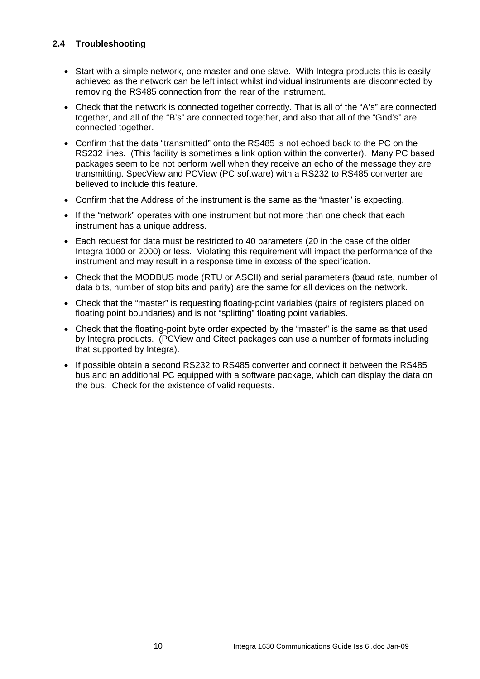# **2.4 Troubleshooting**

- Start with a simple network, one master and one slave. With Integra products this is easily achieved as the network can be left intact whilst individual instruments are disconnected by removing the RS485 connection from the rear of the instrument.
- Check that the network is connected together correctly. That is all of the "A's" are connected together, and all of the "B's" are connected together, and also that all of the "Gnd's" are connected together.
- Confirm that the data "transmitted" onto the RS485 is not echoed back to the PC on the RS232 lines. (This facility is sometimes a link option within the converter). Many PC based packages seem to be not perform well when they receive an echo of the message they are transmitting. SpecView and PCView (PC software) with a RS232 to RS485 converter are believed to include this feature.
- Confirm that the Address of the instrument is the same as the "master" is expecting.
- If the "network" operates with one instrument but not more than one check that each instrument has a unique address.
- Each request for data must be restricted to 40 parameters (20 in the case of the older Integra 1000 or 2000) or less. Violating this requirement will impact the performance of the instrument and may result in a response time in excess of the specification.
- Check that the MODBUS mode (RTU or ASCII) and serial parameters (baud rate, number of data bits, number of stop bits and parity) are the same for all devices on the network.
- Check that the "master" is requesting floating-point variables (pairs of registers placed on floating point boundaries) and is not "splitting" floating point variables.
- Check that the floating-point byte order expected by the "master" is the same as that used by Integra products. (PCView and Citect packages can use a number of formats including that supported by Integra).
- If possible obtain a second RS232 to RS485 converter and connect it between the RS485 bus and an additional PC equipped with a software package, which can display the data on the bus. Check for the existence of valid requests.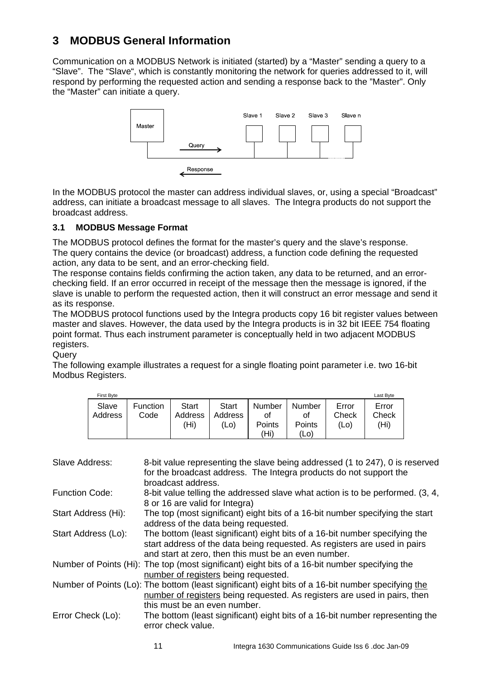# **3 MODBUS General Information**

Communication on a MODBUS Network is initiated (started) by a "Master" sending a query to a "Slave". The "Slave", which is constantly monitoring the network for queries addressed to it, will respond by performing the requested action and sending a response back to the "Master". Only the "Master" can initiate a query.



In the MODBUS protocol the master can address individual slaves, or, using a special "Broadcast" address, can initiate a broadcast message to all slaves. The Integra products do not support the broadcast address.

## **3.1 MODBUS Message Format**

The MODBUS protocol defines the format for the master's query and the slave's response. The query contains the device (or broadcast) address, a function code defining the requested action, any data to be sent, and an error-checking field.

The response contains fields confirming the action taken, any data to be returned, and an errorchecking field. If an error occurred in receipt of the message then the message is ignored, if the slave is unable to perform the requested action, then it will construct an error message and send it as its response.

The MODBUS protocol functions used by the Integra products copy 16 bit register values between master and slaves. However, the data used by the Integra products is in 32 bit IEEE 754 floating point format. Thus each instrument parameter is conceptually held in two adjacent MODBUS registers.

**Query** 

The following example illustrates a request for a single floating point parameter i.e. two 16-bit Modbus Registers.

| <b>First Byte</b> |                  |                          |                          |                                |                                |                           | Last Byte              |
|-------------------|------------------|--------------------------|--------------------------|--------------------------------|--------------------------------|---------------------------|------------------------|
| Slave<br>Address  | Function<br>Code | Start<br>Address<br>(Hi) | Start<br>Address<br>(Lo) | Number<br>Οl<br>Points<br>'Hi) | Number<br>οt<br>Points<br>(Lo) | Error<br>Check<br>$'$ Lo) | Error<br>Check<br>(Hi) |

| Slave Address:        | 8-bit value representing the slave being addressed (1 to 247), 0 is reserved<br>for the broadcast address. The Integra products do not support the<br>broadcast address.                                         |
|-----------------------|------------------------------------------------------------------------------------------------------------------------------------------------------------------------------------------------------------------|
| <b>Function Code:</b> | 8-bit value telling the addressed slave what action is to be performed. (3, 4,<br>8 or 16 are valid for Integra)                                                                                                 |
| Start Address (Hi):   | The top (most significant) eight bits of a 16-bit number specifying the start<br>address of the data being requested.                                                                                            |
| Start Address (Lo):   | The bottom (least significant) eight bits of a 16-bit number specifying the<br>start address of the data being requested. As registers are used in pairs<br>and start at zero, then this must be an even number. |
|                       | Number of Points (Hi): The top (most significant) eight bits of a 16-bit number specifying the<br>number of registers being requested.                                                                           |
|                       | Number of Points (Lo): The bottom (least significant) eight bits of a 16-bit number specifying the<br>number of registers being requested. As registers are used in pairs, then<br>this must be an even number.  |
| Error Check (Lo):     | The bottom (least significant) eight bits of a 16-bit number representing the<br>error check value.                                                                                                              |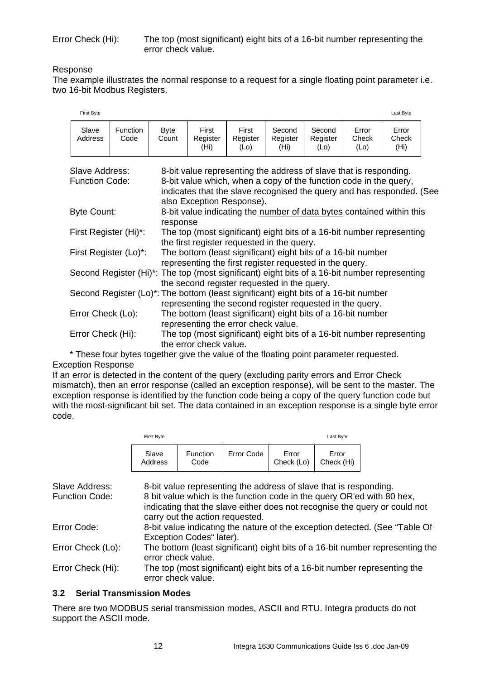### Response

The example illustrates the normal response to a request for a single floating point parameter i.e. two 16-bit Modbus Registers.

|                                         | <b>First Byte</b> |                         |                                                                                                                                                                                                                                              |                                                                                                                                                          |                           |                            |                            |                        | Last Byte                           |  |  |
|-----------------------------------------|-------------------|-------------------------|----------------------------------------------------------------------------------------------------------------------------------------------------------------------------------------------------------------------------------------------|----------------------------------------------------------------------------------------------------------------------------------------------------------|---------------------------|----------------------------|----------------------------|------------------------|-------------------------------------|--|--|
|                                         | Slave<br>Address  | <b>Function</b><br>Code | <b>Byte</b><br>Count                                                                                                                                                                                                                         | First<br>Register<br>(Hi)                                                                                                                                | First<br>Register<br>(Lo) | Second<br>Register<br>(Hi) | Second<br>Register<br>(Lo) | Error<br>Check<br>(Lo) | Error<br>Check<br>(H <sub>i</sub> ) |  |  |
| Slave Address:<br><b>Function Code:</b> |                   |                         | 8-bit value representing the address of slave that is responding.<br>8-bit value which, when a copy of the function code in the query,<br>indicates that the slave recognised the query and has responded. (See<br>also Exception Response). |                                                                                                                                                          |                           |                            |                            |                        |                                     |  |  |
| Byte Count:                             |                   |                         | 8-bit value indicating the number of data bytes contained within this<br>response                                                                                                                                                            |                                                                                                                                                          |                           |                            |                            |                        |                                     |  |  |
| First Register (Hi)*:                   |                   |                         |                                                                                                                                                                                                                                              | The top (most significant) eight bits of a 16-bit number representing<br>the first register requested in the query.                                      |                           |                            |                            |                        |                                     |  |  |
| First Register (Lo)*:                   |                   |                         |                                                                                                                                                                                                                                              | The bottom (least significant) eight bits of a 16-bit number<br>representing the first register requested in the query.                                  |                           |                            |                            |                        |                                     |  |  |
|                                         |                   |                         |                                                                                                                                                                                                                                              | Second Register (Hi) <sup>*</sup> : The top (most significant) eight bits of a 16-bit number representing<br>the second register requested in the query. |                           |                            |                            |                        |                                     |  |  |
|                                         |                   |                         |                                                                                                                                                                                                                                              | Second Register (Lo)*: The bottom (least significant) eight bits of a 16-bit number<br>representing the second register requested in the query.          |                           |                            |                            |                        |                                     |  |  |
| Error Check (Lo):                       |                   |                         |                                                                                                                                                                                                                                              | The bottom (least significant) eight bits of a 16-bit number<br>representing the error check value.                                                      |                           |                            |                            |                        |                                     |  |  |
| Error Check (Hi):                       |                   |                         |                                                                                                                                                                                                                                              | The top (most significant) eight bits of a 16-bit number representing<br>the error check value.                                                          |                           |                            |                            |                        |                                     |  |  |

\* These four bytes together give the value of the floating point parameter requested. Exception Response

If an error is detected in the content of the query (excluding parity errors and Error Check mismatch), then an error response (called an exception response), will be sent to the master. The exception response is identified by the function code being a copy of the query function code but with the most-significant bit set. The data contained in an exception response is a single byte error code.

|                       | First Byte                                                                                          |                                 |                                                                   |                     | Last Byte           |                                                                                                                                                      |
|-----------------------|-----------------------------------------------------------------------------------------------------|---------------------------------|-------------------------------------------------------------------|---------------------|---------------------|------------------------------------------------------------------------------------------------------------------------------------------------------|
|                       | Slave<br>Address                                                                                    | <b>Function</b><br>Code         | Error Code                                                        | Error<br>Check (Lo) | Error<br>Check (Hi) |                                                                                                                                                      |
| Slave Address:        |                                                                                                     |                                 | 8-bit value representing the address of slave that is responding. |                     |                     |                                                                                                                                                      |
| <b>Function Code:</b> |                                                                                                     | carry out the action requested. |                                                                   |                     |                     | 8 bit value which is the function code in the query OR'ed with 80 hex,<br>indicating that the slave either does not recognise the query or could not |
| Error Code:           |                                                                                                     | Exception Codes" later).        |                                                                   |                     |                     | 8-bit value indicating the nature of the exception detected. (See "Table Of                                                                          |
| Error Check (Lo):     | The bottom (least significant) eight bits of a 16-bit number representing the<br>error check value. |                                 |                                                                   |                     |                     |                                                                                                                                                      |
| Error Check (Hi):     |                                                                                                     | error check value.              |                                                                   |                     |                     | The top (most significant) eight bits of a 16-bit number representing the                                                                            |
|                       |                                                                                                     |                                 |                                                                   |                     |                     |                                                                                                                                                      |

## **3.2 Serial Transmission Modes**

There are two MODBUS serial transmission modes, ASCII and RTU. Integra products do not support the ASCII mode.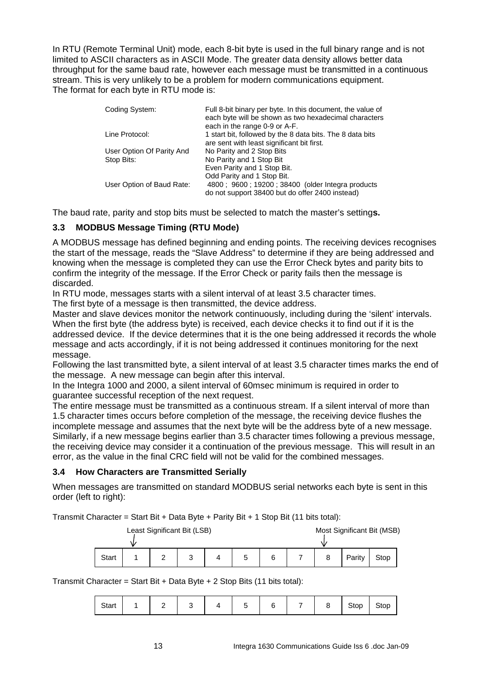In RTU (Remote Terminal Unit) mode, each 8-bit byte is used in the full binary range and is not limited to ASCII characters as in ASCII Mode. The greater data density allows better data throughput for the same baud rate, however each message must be transmitted in a continuous stream. This is very unlikely to be a problem for modern communications equipment. The format for each byte in RTU mode is:

| Coding System:            | Full 8-bit binary per byte. In this document, the value of<br>each byte will be shown as two hexadecimal characters<br>each in the range 0-9 or A-F. |
|---------------------------|------------------------------------------------------------------------------------------------------------------------------------------------------|
| Line Protocol:            | 1 start bit, followed by the 8 data bits. The 8 data bits                                                                                            |
|                           | are sent with least significant bit first.                                                                                                           |
| User Option Of Parity And | No Parity and 2 Stop Bits                                                                                                                            |
| Stop Bits:                | No Parity and 1 Stop Bit                                                                                                                             |
|                           | Even Parity and 1 Stop Bit.                                                                                                                          |
|                           | Odd Parity and 1 Stop Bit.                                                                                                                           |
| User Option of Baud Rate: | 4800; 9600; 19200; 38400 (older Integra products                                                                                                     |
|                           | do not support 38400 but do offer 2400 instead)                                                                                                      |

The baud rate, parity and stop bits must be selected to match the master's setting**s.** 

# **3.3 MODBUS Message Timing (RTU Mode)**

A MODBUS message has defined beginning and ending points. The receiving devices recognises the start of the message, reads the "Slave Address" to determine if they are being addressed and knowing when the message is completed they can use the Error Check bytes and parity bits to confirm the integrity of the message. If the Error Check or parity fails then the message is discarded.

In RTU mode, messages starts with a silent interval of at least 3.5 character times. The first byte of a message is then transmitted, the device address.

Master and slave devices monitor the network continuously, including during the 'silent' intervals. When the first byte (the address byte) is received, each device checks it to find out if it is the addressed device. If the device determines that it is the one being addressed it records the whole message and acts accordingly, if it is not being addressed it continues monitoring for the next message.

Following the last transmitted byte, a silent interval of at least 3.5 character times marks the end of the message. A new message can begin after this interval.

In the Integra 1000 and 2000, a silent interval of 60msec minimum is required in order to guarantee successful reception of the next request.

The entire message must be transmitted as a continuous stream. If a silent interval of more than 1.5 character times occurs before completion of the message, the receiving device flushes the incomplete message and assumes that the next byte will be the address byte of a new message. Similarly, if a new message begins earlier than 3.5 character times following a previous message, the receiving device may consider it a continuation of the previous message. This will result in an error, as the value in the final CRC field will not be valid for the combined messages.

## **3.4 How Characters are Transmitted Serially**

When messages are transmitted on standard MODBUS serial networks each byte is sent in this order (left to right):

Transmit Character = Start Bit + Data Byte + Parity Bit + 1 Stop Bit (11 bits total):

| Least Significant Bit (LSB) |  |   |   |  | Most Significant Bit (MSB) |   |  |  |        |      |  |
|-----------------------------|--|---|---|--|----------------------------|---|--|--|--------|------|--|
| <b>Start</b>                |  | ∼ | J |  | b                          | 6 |  |  | Parity | Stop |  |

Transmit Character = Start Bit + Data Byte + 2 Stop Bits (11 bits total):

| $7+$ n $+$<br>$-0.01$ |  |  |  |  |  |  |  |  | n n<br>ວເບບ | IOD |
|-----------------------|--|--|--|--|--|--|--|--|-------------|-----|
|-----------------------|--|--|--|--|--|--|--|--|-------------|-----|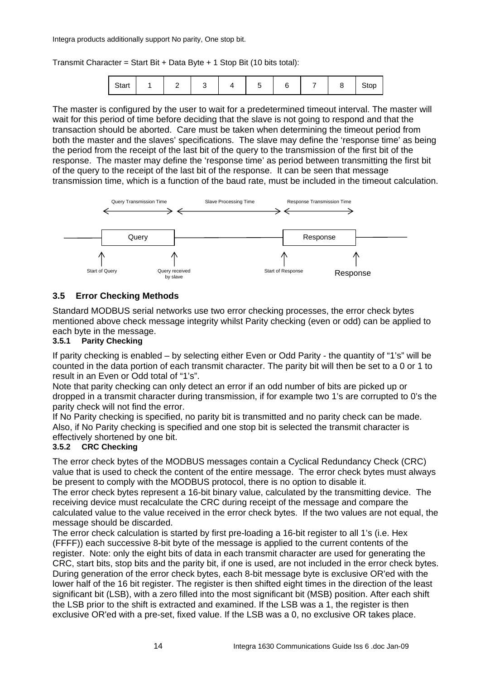Integra products additionally support No parity, One stop bit.

Transmit Character = Start Bit + Data Byte + 1 Stop Bit (10 bits total):

| Start |  |  |  |  |  |  |  |  | Stop |  |
|-------|--|--|--|--|--|--|--|--|------|--|
|-------|--|--|--|--|--|--|--|--|------|--|

The master is configured by the user to wait for a predetermined timeout interval. The master will wait for this period of time before deciding that the slave is not going to respond and that the transaction should be aborted. Care must be taken when determining the timeout period from both the master and the slaves' specifications. The slave may define the 'response time' as being the period from the receipt of the last bit of the query to the transmission of the first bit of the response. The master may define the 'response time' as period between transmitting the first bit of the query to the receipt of the last bit of the response. It can be seen that message transmission time, which is a function of the baud rate, must be included in the timeout calculation.



## **3.5 Error Checking Methods**

Standard MODBUS serial networks use two error checking processes, the error check bytes mentioned above check message integrity whilst Parity checking (even or odd) can be applied to each byte in the message.

### **3.5.1 Parity Checking**

If parity checking is enabled – by selecting either Even or Odd Parity - the quantity of "1's" will be counted in the data portion of each transmit character. The parity bit will then be set to a 0 or 1 to result in an Even or Odd total of "1's".

Note that parity checking can only detect an error if an odd number of bits are picked up or dropped in a transmit character during transmission, if for example two 1's are corrupted to 0's the parity check will not find the error.

If No Parity checking is specified, no parity bit is transmitted and no parity check can be made. Also, if No Parity checking is specified and one stop bit is selected the transmit character is effectively shortened by one bit.

## **3.5.2 CRC Checking**

The error check bytes of the MODBUS messages contain a Cyclical Redundancy Check (CRC) value that is used to check the content of the entire message. The error check bytes must always be present to comply with the MODBUS protocol, there is no option to disable it.

The error check bytes represent a 16-bit binary value, calculated by the transmitting device. The receiving device must recalculate the CRC during receipt of the message and compare the calculated value to the value received in the error check bytes. If the two values are not equal, the message should be discarded.

The error check calculation is started by first pre-loading a 16-bit register to all 1's (i.e. Hex (FFFF)) each successive 8-bit byte of the message is applied to the current contents of the register. Note: only the eight bits of data in each transmit character are used for generating the CRC, start bits, stop bits and the parity bit, if one is used, are not included in the error check bytes. During generation of the error check bytes, each 8-bit message byte is exclusive OR'ed with the lower half of the 16 bit register. The register is then shifted eight times in the direction of the least significant bit (LSB), with a zero filled into the most significant bit (MSB) position. After each shift the LSB prior to the shift is extracted and examined. If the LSB was a 1, the register is then exclusive OR'ed with a pre-set, fixed value. If the LSB was a 0, no exclusive OR takes place.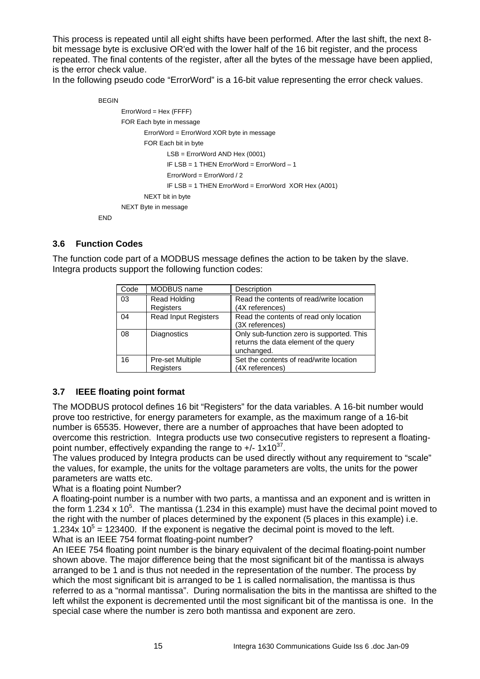This process is repeated until all eight shifts have been performed. After the last shift, the next 8 bit message byte is exclusive OR'ed with the lower half of the 16 bit register, and the process repeated. The final contents of the register, after all the bytes of the message have been applied, is the error check value.

In the following pseudo code "ErrorWord" is a 16-bit value representing the error check values.

```
BEGIN
       ErrorWord = Hex (FFFF) 
       FOR Each byte in message 
               ErrorWord = ErrorWord XOR byte in message 
               FOR Each bit in byte 
                       LSB = ErrorWord AND Hex (0001) 
                       IF LSB = 1 THEN ErrorWord = ErrorWord – 1 
                       ErrorWord = ErrorWord / 2 
                       IF LSB = 1 THEN ErrorWord = ErrorWord XOR Hex (A001) 
               NEXT bit in byte 
       NEXT Byte in message 
END
```
## **3.6 Function Codes**

The function code part of a MODBUS message defines the action to be taken by the slave. Integra products support the following function codes:

| Code | MODBUS name                   | Description                                                                                      |
|------|-------------------------------|--------------------------------------------------------------------------------------------------|
| 03   | Read Holding<br>Registers     | Read the contents of read/write location<br>(4X references)                                      |
| 04   | <b>Read Input Registers</b>   | Read the contents of read only location<br>(3X references)                                       |
| 08   | <b>Diagnostics</b>            | Only sub-function zero is supported. This<br>returns the data element of the query<br>unchanged. |
| 16   | Pre-set Multiple<br>Registers | Set the contents of read/write location<br>(4X references)                                       |

# **3.7 IEEE floating point format**

The MODBUS protocol defines 16 bit "Registers" for the data variables. A 16-bit number would prove too restrictive, for energy parameters for example, as the maximum range of a 16-bit number is 65535. However, there are a number of approaches that have been adopted to overcome this restriction. Integra products use two consecutive registers to represent a floatingpoint number, effectively expanding the range to  $+/- 1x10^{37}$ .

The values produced by Integra products can be used directly without any requirement to "scale" the values, for example, the units for the voltage parameters are volts, the units for the power parameters are watts etc.

What is a floating point Number?

A floating-point number is a number with two parts, a mantissa and an exponent and is written in the form 1.234 x 10<sup>5</sup>. The mantissa (1.234 in this example) must have the decimal point moved to the right with the number of places determined by the exponent (5 places in this example) i.e. 1.234x  $10^5$  = 123400. If the exponent is negative the decimal point is moved to the left. What is an IEEE 754 format floating-point number?

An IEEE 754 floating point number is the binary equivalent of the decimal floating-point number shown above. The major difference being that the most significant bit of the mantissa is always arranged to be 1 and is thus not needed in the representation of the number. The process by which the most significant bit is arranged to be 1 is called normalisation, the mantissa is thus referred to as a "normal mantissa". During normalisation the bits in the mantissa are shifted to the left whilst the exponent is decremented until the most significant bit of the mantissa is one. In the special case where the number is zero both mantissa and exponent are zero.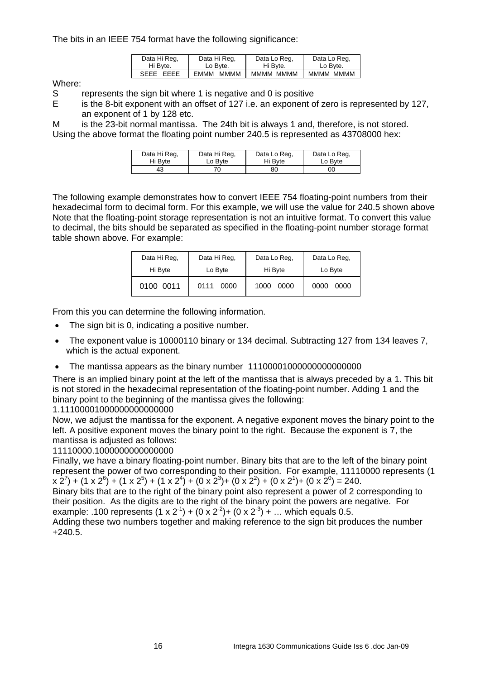The bits in an IEEE 754 format have the following significance:

| Data Hi Reg. | Data Hi Reg. | Data Lo Reg. | Data Lo Reg. |
|--------------|--------------|--------------|--------------|
| Hi Byte.     | Lo Byte.     | Hi Byte.     | Lo Byte.     |
| SEEE EEEE    | мммм<br>EMMM | MMMM MMMM    | MMMM MMMM    |

Where:

S represents the sign bit where 1 is negative and 0 is positive

E is the 8-bit exponent with an offset of 127 i.e. an exponent of zero is represented by 127, an exponent of 1 by 128 etc.

M is the 23-bit normal mantissa. The 24th bit is always 1 and, therefore, is not stored. Using the above format the floating point number 240.5 is represented as 43708000 hex:

| Data Hi Reg. | Data Hi Reg. | Data Lo Reg. | Data Lo Reg. |
|--------------|--------------|--------------|--------------|
| Hi Byte      | Lo Byte      | Hi Byte      | Lo Byte      |
| 43           |              | 80           | OΟ           |

The following example demonstrates how to convert IEEE 754 floating-point numbers from their hexadecimal form to decimal form. For this example, we will use the value for 240.5 shown above Note that the floating-point storage representation is not an intuitive format. To convert this value to decimal, the bits should be separated as specified in the floating-point number storage format table shown above. For example:

| Data Hi Reg. | Data Hi Reg. | Data Lo Reg. | Data Lo Reg. |
|--------------|--------------|--------------|--------------|
| Hi Byte      | Lo Byte      | Hi Byte      | Lo Byte      |
| 0100 0011    | 0111<br>0000 | 1000<br>0000 | 0000<br>0000 |

From this you can determine the following information.

- The sign bit is 0, indicating a positive number.
- The exponent value is 10000110 binary or 134 decimal. Subtracting 127 from 134 leaves 7, which is the actual exponent.
- The mantissa appears as the binary number 11100001000000000000000

There is an implied binary point at the left of the mantissa that is always preceded by a 1. This bit is not stored in the hexadecimal representation of the floating-point number. Adding 1 and the binary point to the beginning of the mantissa gives the following:

1.11100001000000000000000

Now, we adjust the mantissa for the exponent. A negative exponent moves the binary point to the left. A positive exponent moves the binary point to the right. Because the exponent is 7, the mantissa is adjusted as follows:

11110000.1000000000000000

Finally, we have a binary floating-point number. Binary bits that are to the left of the binary point represent the power of two corresponding to their position. For example, 11110000 represents (1  $(x 2^7) + (1 x 2^6) + (1 x 2^5) + (1 x 2^4) + (0 x 2^3) + (0 x 2^2) + (0 x 2^1) + (0 x 2^0) = 240.$ 

Binary bits that are to the right of the binary point also represent a power of 2 corresponding to their position. As the digits are to the right of the binary point the powers are negative. For example: .100 represents  $(1 \times 2^{-1}) + (0 \times 2^{-2}) + (0 \times 2^{-3}) + ...$  which equals 0.5.

Adding these two numbers together and making reference to the sign bit produces the number +240.5.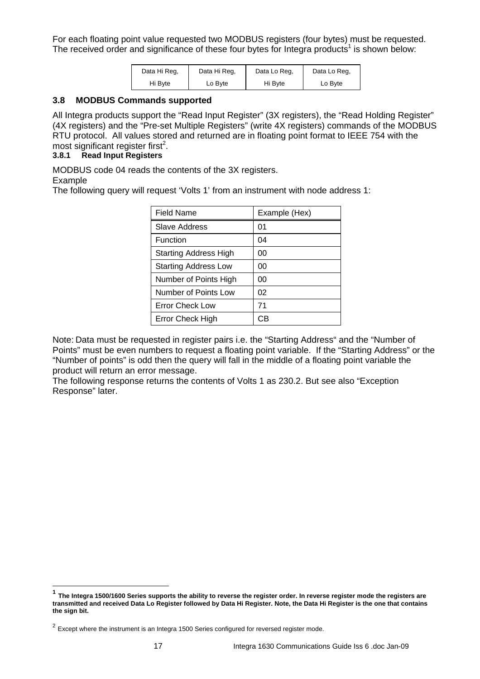For each floating point value requested two MODBUS registers (four bytes) must be requested. The received order and significance of these four bytes for Integra products<sup>1</sup> is shown below:

| Data Hi Reg. | Data Hi Reg. | Data Lo Reg. | Data Lo Reg. |
|--------------|--------------|--------------|--------------|
| Hi Byte      | Lo Byte      | Hi Bvte      | Lo Byte      |

#### **3.8 MODBUS Commands supported**

All Integra products support the "Read Input Register" (3X registers), the "Read Holding Register" (4X registers) and the "Pre-set Multiple Registers" (write 4X registers) commands of the MODBUS RTU protocol. All values stored and returned are in floating point format to IEEE 754 with the most significant register first<sup>2</sup>.

# **3.8.1 Read Input Registers**

MODBUS code 04 reads the contents of the 3X registers.

### Example

l

The following query will request 'Volts 1' from an instrument with node address 1:

| <b>Field Name</b>            | Example (Hex) |
|------------------------------|---------------|
| Slave Address                | 01            |
| Function                     | 04            |
| <b>Starting Address High</b> | 00            |
| <b>Starting Address Low</b>  | 00            |
| Number of Points High        | 00            |
| Number of Points Low         | 02            |
| <b>Error Check Low</b>       | 71            |
| Error Check High             | C.B           |

Note: Data must be requested in register pairs i.e. the "Starting Address" and the "Number of Points" must be even numbers to request a floating point variable. If the "Starting Address" or the "Number of points" is odd then the query will fall in the middle of a floating point variable the product will return an error message.

The following response returns the contents of Volts 1 as 230.2. But see also "Exception Response" later.

**<sup>1</sup> The Integra 1500/1600 Series supports the ability to reverse the register order. In reverse register mode the registers are transmitted and received Data Lo Register followed by Data Hi Register. Note, the Data Hi Register is the one that contains the sign bit.** 

 $2$  Except where the instrument is an Integra 1500 Series configured for reversed register mode.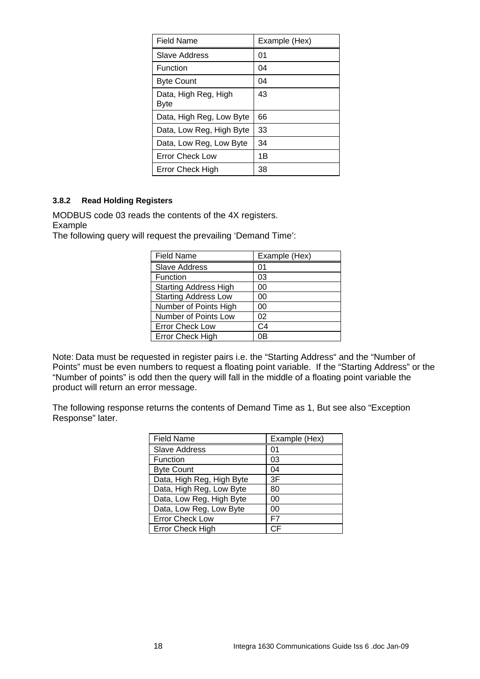| Field Name                   | Example (Hex) |
|------------------------------|---------------|
| Slave Address                | 01            |
| Function                     | 04            |
| <b>Byte Count</b>            | 04            |
| Data, High Reg, High<br>Byte | 43            |
| Data, High Reg, Low Byte     | 66            |
| Data, Low Reg, High Byte     | 33            |
| Data, Low Reg, Low Byte      | 34            |
| Error Check Low              | 1B            |
| Error Check High             | 38            |

## **3.8.2 Read Holding Registers**

MODBUS code 03 reads the contents of the 4X registers.

Example

The following query will request the prevailing 'Demand Time':

| <b>Field Name</b>            | Example (Hex) |
|------------------------------|---------------|
| <b>Slave Address</b>         | 01            |
| Function                     | 03            |
| <b>Starting Address High</b> | 00            |
| <b>Starting Address Low</b>  | 00            |
| Number of Points High        | 00            |
| Number of Points Low         | 02            |
| <b>Error Check Low</b>       | C4            |
| <b>Error Check High</b>      | 0B            |

Note: Data must be requested in register pairs i.e. the "Starting Address" and the "Number of Points" must be even numbers to request a floating point variable. If the "Starting Address" or the "Number of points" is odd then the query will fall in the middle of a floating point variable the product will return an error message.

The following response returns the contents of Demand Time as 1, But see also "Exception Response" later.

| <b>Field Name</b>         | Example (Hex) |
|---------------------------|---------------|
| <b>Slave Address</b>      | 01            |
| Function                  | 03            |
| <b>Byte Count</b>         | 04            |
| Data, High Reg, High Byte | 3F            |
| Data, High Reg, Low Byte  | 80            |
| Data, Low Reg, High Byte  | 00            |
| Data, Low Reg, Low Byte   | ΩO            |
| <b>Error Check Low</b>    | F7            |
| <b>Error Check High</b>   | СF            |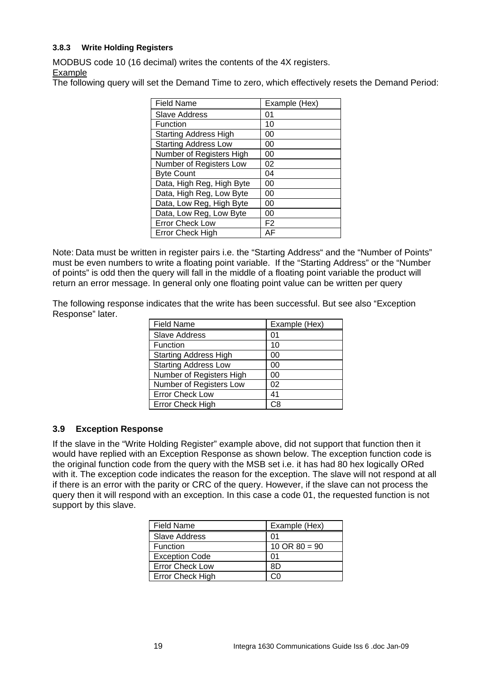## **3.8.3 Write Holding Registers**

MODBUS code 10 (16 decimal) writes the contents of the 4X registers.

Example

The following query will set the Demand Time to zero, which effectively resets the Demand Period:

| <b>Field Name</b>            | Example (Hex)  |
|------------------------------|----------------|
| <b>Slave Address</b>         | 01             |
| Function                     | 10             |
| <b>Starting Address High</b> | 00             |
| <b>Starting Address Low</b>  | 00             |
| Number of Registers High     | 00             |
| Number of Registers Low      | 02             |
| <b>Byte Count</b>            | 04             |
| Data, High Reg, High Byte    | 00             |
| Data, High Reg, Low Byte     | 00             |
| Data, Low Reg, High Byte     | 00             |
| Data, Low Reg, Low Byte      | 00             |
| <b>Error Check Low</b>       | F <sub>2</sub> |
| <b>Error Check High</b>      | AF             |

Note: Data must be written in register pairs i.e. the "Starting Address" and the "Number of Points" must be even numbers to write a floating point variable. If the "Starting Address" or the "Number of points" is odd then the query will fall in the middle of a floating point variable the product will return an error message. In general only one floating point value can be written per query

The following response indicates that the write has been successful. But see also "Exception Response" later.

| <b>Field Name</b>            | Example (Hex) |
|------------------------------|---------------|
| <b>Slave Address</b>         | 01            |
| Function                     | 10            |
| <b>Starting Address High</b> | 00            |
| <b>Starting Address Low</b>  | 00            |
| Number of Registers High     | 00            |
| Number of Registers Low      | 02            |
| <b>Error Check Low</b>       | 41            |
| Error Check High             | C8            |

## **3.9 Exception Response**

If the slave in the "Write Holding Register" example above, did not support that function then it would have replied with an Exception Response as shown below. The exception function code is the original function code from the query with the MSB set i.e. it has had 80 hex logically ORed with it. The exception code indicates the reason for the exception. The slave will not respond at all if there is an error with the parity or CRC of the query. However, if the slave can not process the query then it will respond with an exception. In this case a code 01, the requested function is not support by this slave.

| <b>Field Name</b>      | Example (Hex)            |
|------------------------|--------------------------|
| <b>Slave Address</b>   | 01                       |
| Function               | $10 \text{ OR } 80 = 90$ |
| <b>Exception Code</b>  | 01                       |
| <b>Error Check Low</b> | 8D                       |
| Error Check High       |                          |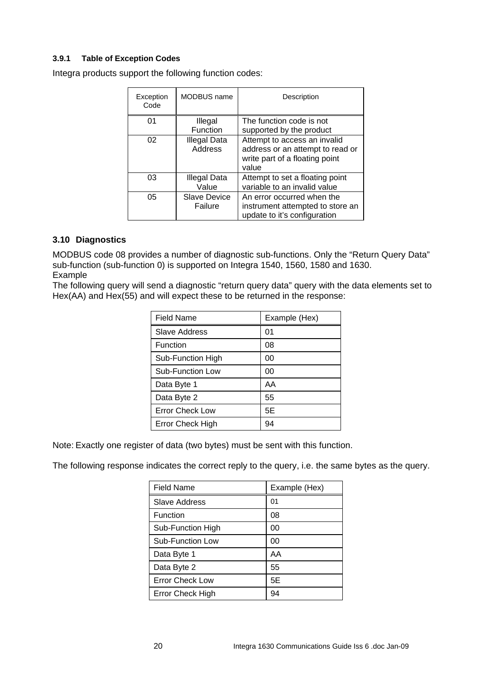## **3.9.1 Table of Exception Codes**

Integra products support the following function codes:

| Exception<br>Code | MODBUS name                    | Description                                                                                                 |
|-------------------|--------------------------------|-------------------------------------------------------------------------------------------------------------|
| 01                | Illegal<br>Function            | The function code is not<br>supported by the product                                                        |
| 02                | Illegal Data<br><b>Address</b> | Attempt to access an invalid<br>address or an attempt to read or<br>write part of a floating point<br>value |
| 03                | Illegal Data<br>Value          | Attempt to set a floating point<br>variable to an invalid value                                             |
| 05                | <b>Slave Device</b><br>Failure | An error occurred when the<br>instrument attempted to store an<br>update to it's configuration              |

## **3.10 Diagnostics**

MODBUS code 08 provides a number of diagnostic sub-functions. Only the "Return Query Data" sub-function (sub-function 0) is supported on Integra 1540, 1560, 1580 and 1630. Example

The following query will send a diagnostic "return query data" query with the data elements set to Hex(AA) and Hex(55) and will expect these to be returned in the response:

| Field Name              | Example (Hex) |
|-------------------------|---------------|
| Slave Address           | 01            |
| Function                | 08            |
| Sub-Function High       | 00            |
| <b>Sub-Function Low</b> | 00            |
| Data Byte 1             | AA            |
| Data Byte 2             | 55            |
| <b>Error Check Low</b>  | 5E            |
| Error Check High        | 94            |

Note: Exactly one register of data (two bytes) must be sent with this function.

The following response indicates the correct reply to the query, i.e. the same bytes as the query.

| Field Name             | Example (Hex) |
|------------------------|---------------|
| Slave Address          | 01            |
| Function               | 08            |
| Sub-Function High      | 00            |
| Sub-Function Low       | 00            |
| Data Byte 1            | AA            |
| Data Byte 2            | 55            |
| <b>Error Check Low</b> | 5E            |
| Error Check High       | 94            |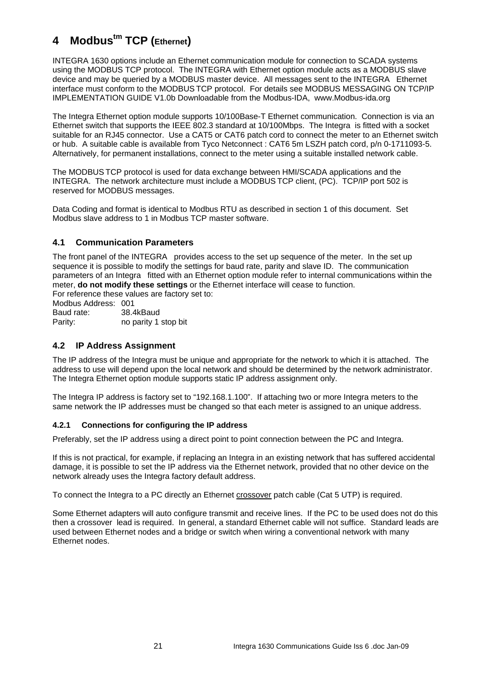# **4 Modbustm TCP (Ethernet)**

INTEGRA 1630 options include an Ethernet communication module for connection to SCADA systems using the MODBUS TCP protocol. The INTEGRA with Ethernet option module acts as a MODBUS slave device and may be queried by a MODBUS master device. All messages sent to the INTEGRA Ethernet interface must conform to the MODBUS TCP protocol. For details see MODBUS MESSAGING ON TCP/IP IMPLEMENTATION GUIDE V1.0b Downloadable from the Modbus-IDA, www.Modbus-ida.org

The Integra Ethernet option module supports 10/100Base-T Ethernet communication. Connection is via an Ethernet switch that supports the IEEE 802.3 standard at 10/100Mbps. The Integra is fitted with a socket suitable for an RJ45 connector. Use a CAT5 or CAT6 patch cord to connect the meter to an Ethernet switch or hub. A suitable cable is available from Tyco Netconnect : CAT6 5m LSZH patch cord, p/n 0-1711093-5. Alternatively, for permanent installations, connect to the meter using a suitable installed network cable.

The MODBUS TCP protocol is used for data exchange between HMI/SCADA applications and the INTEGRA. The network architecture must include a MODBUS TCP client, (PC). TCP/IP port 502 is reserved for MODBUS messages.

Data Coding and format is identical to Modbus RTU as described in section 1 of this document. Set Modbus slave address to 1 in Modbus TCP master software.

## **4.1 Communication Parameters**

The front panel of the INTEGRA provides access to the set up sequence of the meter. In the set up sequence it is possible to modify the settings for baud rate, parity and slave ID. The communication parameters of an Integra fitted with an Ethernet option module refer to internal communications within the meter, **do not modify these settings** or the Ethernet interface will cease to function. For reference these values are factory set to:

Modbus Address: 001 Baud rate: 38.4kBaud Parity: no parity 1 stop bit

# **4.2 IP Address Assignment**

The IP address of the Integra must be unique and appropriate for the network to which it is attached. The address to use will depend upon the local network and should be determined by the network administrator. The Integra Ethernet option module supports static IP address assignment only.

The Integra IP address is factory set to "192.168.1.100". If attaching two or more Integra meters to the same network the IP addresses must be changed so that each meter is assigned to an unique address.

### **4.2.1 Connections for configuring the IP address**

Preferably, set the IP address using a direct point to point connection between the PC and Integra.

If this is not practical, for example, if replacing an Integra in an existing network that has suffered accidental damage, it is possible to set the IP address via the Ethernet network, provided that no other device on the network already uses the Integra factory default address.

To connect the Integra to a PC directly an Ethernet crossover patch cable (Cat 5 UTP) is required.

Some Ethernet adapters will auto configure transmit and receive lines. If the PC to be used does not do this then a crossover lead is required. In general, a standard Ethernet cable will not suffice. Standard leads are used between Ethernet nodes and a bridge or switch when wiring a conventional network with many Ethernet nodes.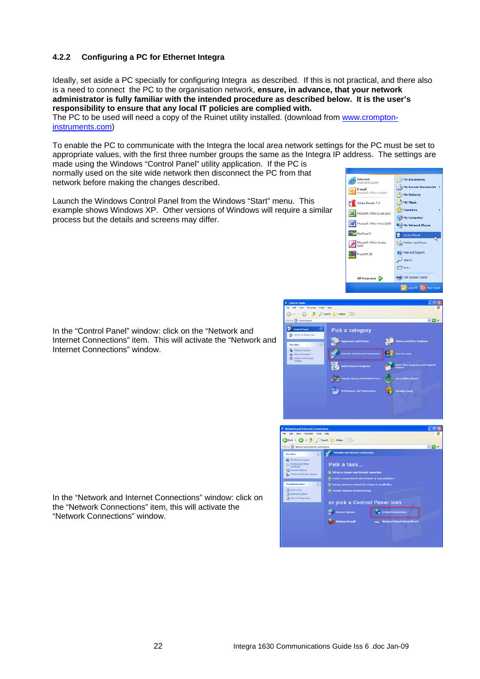### **4.2.2 Configuring a PC for Ethernet Integra**

Ideally, set aside a PC specially for configuring Integra as described. If this is not practical, and there also is a need to connect the PC to the organisation network, **ensure, in advance, that your network administrator is fully familiar with the intended procedure as described below. It is the user's responsibility to ensure that any local IT policies are complied with.** 

The PC to be used will need a copy of the Ruinet utility installed. (download from www.cromptoninstruments.com)

To enable the PC to communicate with the Integra the local area network settings for the PC must be set to appropriate values, with the first three number groups the same as the Integra IP address. The settings are made using the Windows "Control Panel" utility application. If the PC is

normally used on the site wide network then disconnect the PC from that network before making the changes described.

Launch the Windows Control Panel from the Windows "Start" menu. This example shows Windows XP. Other versions of Windows will require a similar process but the details and screens may differ.







In the "Control Panel" window: click on the "Network and Internet Connections" item. This will activate the "Network and Internet Connections" window.

In the "Network and Internet Connections" window: click on the "Network Connections" item, this will activate the "Network Connections" window.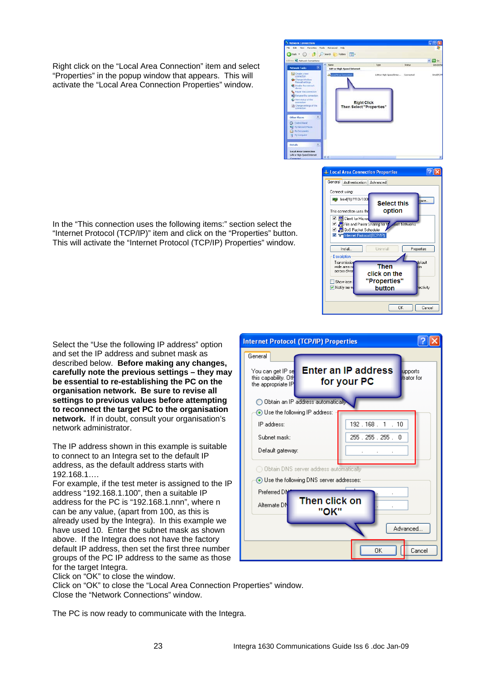Right click on the "Local Area Connection" item and select "Properties" in the popup window that appears. This will activate the "Local Area Connection Properties" window.

In the "This connection uses the following items:" section select the "Internet Protocol (TCP/IP)" item and click on the "Properties" button. This will activate the "Internet Protocol (TCP/IP) Properties" window.

Select the "Use the following IP address" option and set the IP address and subnet mask as described below. **Before making any changes, carefully note the previous settings – they may be essential to re-establishing the PC on the organisation network. Be sure to revise all settings to previous values before attempting to reconnect the target PC to the organisation network.** If in doubt, consult your organisation's network administrator.

The IP address shown in this example is suitable to connect to an Integra set to the default IP address, as the default address starts with 192.168.1….

For example, if the test meter is assigned to the IP address "192.168.1.100", then a suitable IP address for the PC is "192.168.1.nnn", where n can be any value, (apart from 100, as this is already used by the Integra). In this example we have used 10. Enter the subnet mask as shown above. If the Integra does not have the factory default IP address, then set the first three number groups of the PC IP address to the same as those for the target Integra.

Click on "OK" to close the window.

Click on "OK" to close the "Local Area Connection Properties" window.

Close the "Network Connections" window.

The PC is now ready to communicate with the Integra.





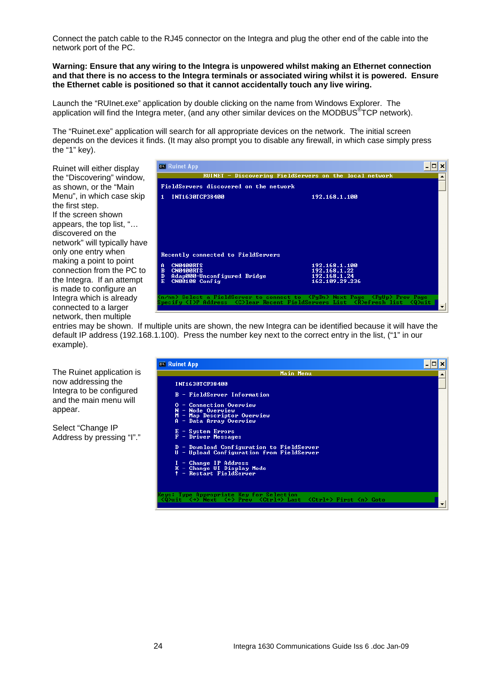Connect the patch cable to the RJ45 connector on the Integra and plug the other end of the cable into the network port of the PC.

**Warning: Ensure that any wiring to the Integra is unpowered whilst making an Ethernet connection and that there is no access to the Integra terminals or associated wiring whilst it is powered. Ensure the Ethernet cable is positioned so that it cannot accidentally touch any live wiring.** 

Launch the "RUInet.exe" application by double clicking on the name from Windows Explorer. The application will find the Integra meter, (and any other similar devices on the MODBUS<sup>®</sup>TCP network).

The "Ruinet.exe" application will search for all appropriate devices on the network. The initial screen depends on the devices it finds. (It may also prompt you to disable any firewall, in which case simply press the "1" key).

Ruinet will either display the "Discovering" window, as shown, or the "Main Menu", in which case skip the first step. If the screen shown appears, the top list, "… discovered on the network" will typically have only one entry when making a point to point connection from the PC to the Integra. If an attempt is made to configure an Integra which is already connected to a larger network, then multiple



entries may be shown. If multiple units are shown, the new Integra can be identified because it will have the default IP address (192.168.1.100). Press the number key next to the correct entry in the list, ("1" in our example).

The Ruinet application is now addressing the Integra to be configured and the main menu will appear.

Select "Change IP Address by pressing "I"."

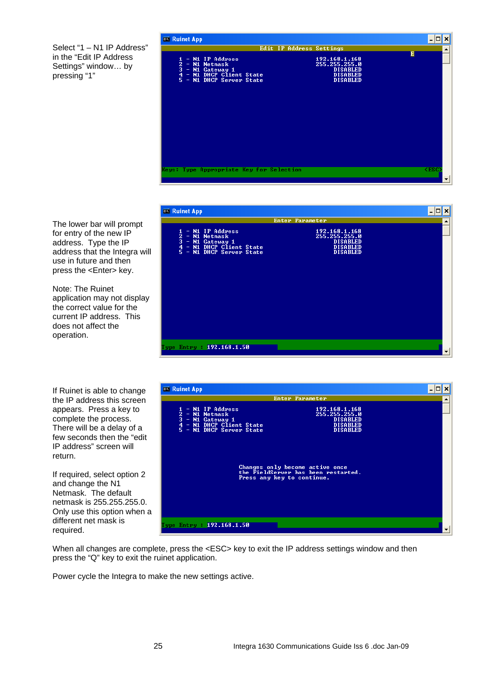Select "1 – N1 IP Address" in the "Edit IP Address Settings" window… by pressing "1"

| <b>EX Ruinet App</b>                                                                                                                                                    |                                                                                                                     | - 19        | $\boldsymbol{\mathsf{x}}$ |
|-------------------------------------------------------------------------------------------------------------------------------------------------------------------------|---------------------------------------------------------------------------------------------------------------------|-------------|---------------------------|
| $1 - \mathsf{NL}$ IP Address<br>$\overline{2}$ - N1 Netmask<br>3 - N1 Gateway<br>- N1 Gateway 1<br>- N1 DHCP Client State<br>$\overline{4}$<br>5 - M1 DHCP Server State | Edit IP Address Settings<br>192.168.1.168<br>255.255.255.0<br><b>DISABLED</b><br><b>DISABLED</b><br><b>DISABLED</b> | Е           | $\blacktriangle$          |
| Keys: Type Appropriate Key for Selection                                                                                                                                |                                                                                                                     | <b>KESC</b> | $\overline{\phantom{a}}$  |

The lower bar will prompt for entry of the new IP address. Type the IP address that the Integra will use in future and then press the <Enter> key.

Note: The Ruinet application may not display the correct value for the current IP address. This does not affect the operation.

If Ruinet is able to change the IP address this screen appears. Press a key to complete the process. There will be a delay of a few seconds then the "edit IP address" screen will return.

If required, select option 2 and change the N1 Netmask. The default netmask is 255.255.255.0. Only use this option when a different net mask is required.





When all changes are complete, press the <ESC> key to exit the IP address settings window and then press the "Q" key to exit the ruinet application.

Power cycle the Integra to make the new settings active.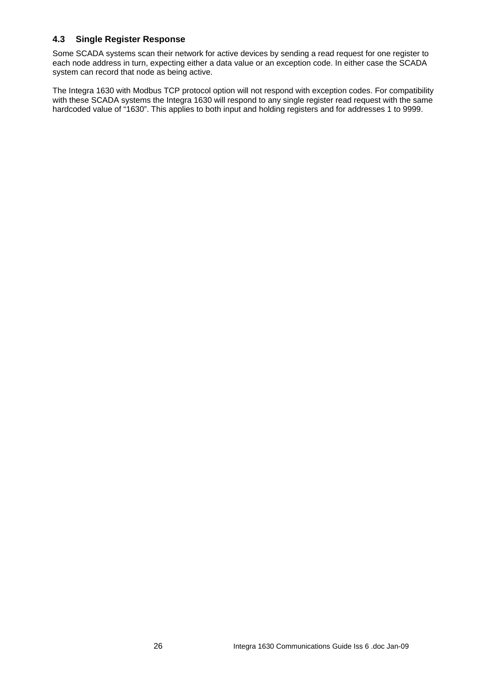## **4.3 Single Register Response**

Some SCADA systems scan their network for active devices by sending a read request for one register to each node address in turn, expecting either a data value or an exception code. In either case the SCADA system can record that node as being active.

The Integra 1630 with Modbus TCP protocol option will not respond with exception codes. For compatibility with these SCADA systems the Integra 1630 will respond to any single register read request with the same hardcoded value of "1630". This applies to both input and holding registers and for addresses 1 to 9999.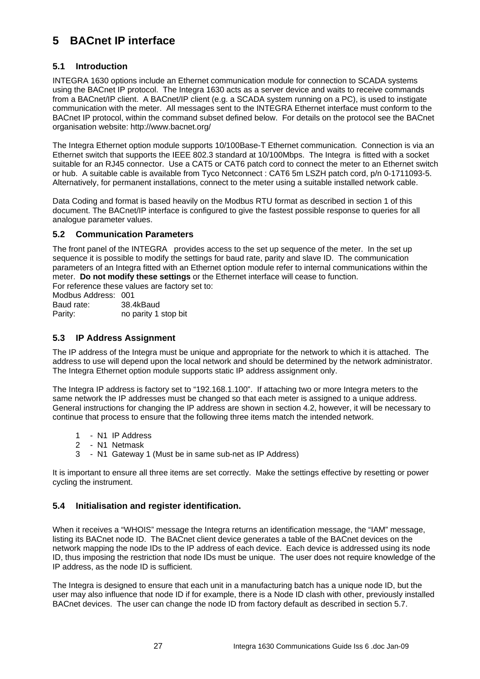# **5 BACnet IP interface**

## **5.1 Introduction**

INTEGRA 1630 options include an Ethernet communication module for connection to SCADA systems using the BACnet IP protocol. The Integra 1630 acts as a server device and waits to receive commands from a BACnet/IP client. A BACnet/IP client (e.g. a SCADA system running on a PC), is used to instigate communication with the meter. All messages sent to the INTEGRA Ethernet interface must conform to the BACnet IP protocol, within the command subset defined below. For details on the protocol see the BACnet organisation website: http://www.bacnet.org/

The Integra Ethernet option module supports 10/100Base-T Ethernet communication. Connection is via an Ethernet switch that supports the IEEE 802.3 standard at 10/100Mbps. The Integra is fitted with a socket suitable for an RJ45 connector. Use a CAT5 or CAT6 patch cord to connect the meter to an Ethernet switch or hub. A suitable cable is available from Tyco Netconnect : CAT6 5m LSZH patch cord, p/n 0-1711093-5. Alternatively, for permanent installations, connect to the meter using a suitable installed network cable.

Data Coding and format is based heavily on the Modbus RTU format as described in section 1 of this document. The BACnet/IP interface is configured to give the fastest possible response to queries for all analogue parameter values.

## **5.2 Communication Parameters**

The front panel of the INTEGRA provides access to the set up sequence of the meter. In the set up sequence it is possible to modify the settings for baud rate, parity and slave ID. The communication parameters of an Integra fitted with an Ethernet option module refer to internal communications within the meter. **Do not modify these settings** or the Ethernet interface will cease to function.

For reference these values are factory set to:

Modbus Address: 001 Baud rate: 38.4kBaud Parity: no parity 1 stop bit

## **5.3 IP Address Assignment**

The IP address of the Integra must be unique and appropriate for the network to which it is attached. The address to use will depend upon the local network and should be determined by the network administrator. The Integra Ethernet option module supports static IP address assignment only.

The Integra IP address is factory set to "192.168.1.100". If attaching two or more Integra meters to the same network the IP addresses must be changed so that each meter is assigned to a unique address. General instructions for changing the IP address are shown in section 4.2, however, it will be necessary to continue that process to ensure that the following three items match the intended network.

- 1 N1 IP Address
- 2 N1 Netmask
- 3 N1 Gateway 1 (Must be in same sub-net as IP Address)

It is important to ensure all three items are set correctly. Make the settings effective by resetting or power cycling the instrument.

## **5.4 Initialisation and register identification.**

When it receives a "WHOIS" message the Integra returns an identification message, the "IAM" message, listing its BACnet node ID. The BACnet client device generates a table of the BACnet devices on the network mapping the node IDs to the IP address of each device. Each device is addressed using its node ID, thus imposing the restriction that node IDs must be unique. The user does not require knowledge of the IP address, as the node ID is sufficient.

The Integra is designed to ensure that each unit in a manufacturing batch has a unique node ID, but the user may also influence that node ID if for example, there is a Node ID clash with other, previously installed BACnet devices. The user can change the node ID from factory default as described in section 5.7.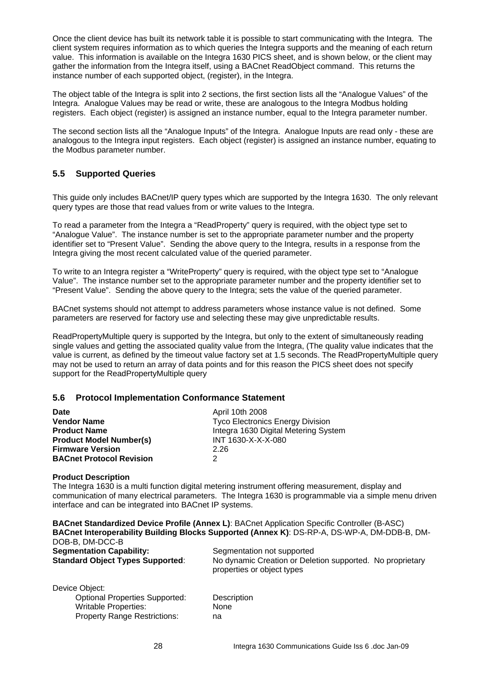Once the client device has built its network table it is possible to start communicating with the Integra. The client system requires information as to which queries the Integra supports and the meaning of each return value. This information is available on the Integra 1630 PICS sheet, and is shown below, or the client may gather the information from the Integra itself, using a BACnet ReadObject command. This returns the instance number of each supported object, (register), in the Integra.

The object table of the Integra is split into 2 sections, the first section lists all the "Analogue Values" of the Integra. Analogue Values may be read or write, these are analogous to the Integra Modbus holding registers. Each object (register) is assigned an instance number, equal to the Integra parameter number.

The second section lists all the "Analogue Inputs" of the Integra. Analogue Inputs are read only - these are analogous to the Integra input registers. Each object (register) is assigned an instance number, equating to the Modbus parameter number.

## **5.5 Supported Queries**

This guide only includes BACnet/IP query types which are supported by the Integra 1630. The only relevant query types are those that read values from or write values to the Integra.

To read a parameter from the Integra a "ReadProperty" query is required, with the object type set to "Analogue Value". The instance number is set to the appropriate parameter number and the property identifier set to "Present Value". Sending the above query to the Integra, results in a response from the Integra giving the most recent calculated value of the queried parameter.

To write to an Integra register a "WriteProperty" query is required, with the object type set to "Analogue Value". The instance number set to the appropriate parameter number and the property identifier set to "Present Value". Sending the above query to the Integra; sets the value of the queried parameter.

BACnet systems should not attempt to address parameters whose instance value is not defined. Some parameters are reserved for factory use and selecting these may give unpredictable results.

ReadPropertyMultiple query is supported by the Integra, but only to the extent of simultaneously reading single values and getting the associated quality value from the Integra, (The quality value indicates that the value is current, as defined by the timeout value factory set at 1.5 seconds. The ReadPropertyMultiple query may not be used to return an array of data points and for this reason the PICS sheet does not specify support for the ReadPropertyMultiple query

### **5.6 Protocol Implementation Conformance Statement**

| Date                            | April 10th 2008                         |
|---------------------------------|-----------------------------------------|
| <b>Vendor Name</b>              | <b>Tyco Electronics Energy Division</b> |
| <b>Product Name</b>             | Integra 1630 Digital Metering System    |
| <b>Product Model Number(s)</b>  | INT 1630-X-X-X-080                      |
| <b>Firmware Version</b>         | 2.26                                    |
| <b>BACnet Protocol Revision</b> |                                         |

#### **Product Description**

The Integra 1630 is a multi function digital metering instrument offering measurement, display and communication of many electrical parameters. The Integra 1630 is programmable via a simple menu driven interface and can be integrated into BACnet IP systems.

**BACnet Standardized Device Profile (Annex L)**: BACnet Application Specific Controller (B-ASC) **BACnet Interoperability Building Blocks Supported (Annex K)**: DS-RP-A, DS-WP-A, DM-DDB-B, DM-DOB-B, DM-DCC-B **Segmentation Capability:** Segmentation not supported **Standard Object Types Supported:** No dynamic Creation or Deletion supported. No proprietary

| Device Object:                        |       |
|---------------------------------------|-------|
| <b>Optional Properties Supported:</b> | Descr |
| <b>Writable Properties:</b>           | None  |
| <b>Property Range Restrictions:</b>   | na    |

properties or object types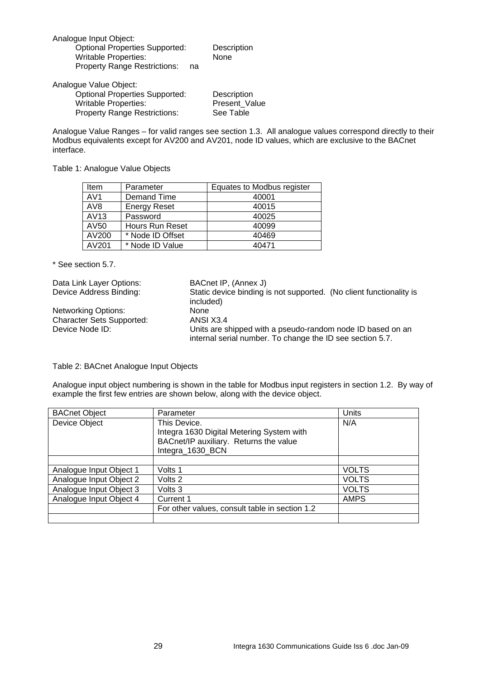| Analogue Input Object:                |    |             |
|---------------------------------------|----|-------------|
| <b>Optional Properties Supported:</b> |    | Description |
| <b>Writable Properties:</b>           |    | <b>None</b> |
| <b>Property Range Restrictions:</b>   | na |             |
| Analogue Value Object:                |    |             |

 Optional Properties Supported: Description Writable Properties: <br>Property Range Restrictions: See Table Property Range Restrictions:

Analogue Value Ranges – for valid ranges see section 1.3. All analogue values correspond directly to their Modbus equivalents except for AV200 and AV201, node ID values, which are exclusive to the BACnet interface.

Table 1: Analogue Value Objects

| Item            | Parameter              | Equates to Modbus register |
|-----------------|------------------------|----------------------------|
| AV1             | Demand Time            | 40001                      |
| AV <sub>8</sub> | <b>Energy Reset</b>    | 40015                      |
| AV13            | Password               | 40025                      |
| AV50            | <b>Hours Run Reset</b> | 40099                      |
| AV200           | * Node ID Offset       | 40469                      |
| AV201           | * Node ID Value        | 40471                      |

\* See section 5.7.

| Data Link Layer Options:                                                                                                                   | BACnet IP, (Annex J)                                                             |
|--------------------------------------------------------------------------------------------------------------------------------------------|----------------------------------------------------------------------------------|
| Device Address Binding:                                                                                                                    | Static device binding is not supported. (No client functionality is<br>included) |
| Networking Options:                                                                                                                        | None                                                                             |
| <b>Character Sets Supported:</b>                                                                                                           | ANSI X3.4                                                                        |
| Device Node ID:<br>Units are shipped with a pseudo-random node ID based on an<br>internal serial number. To change the ID see section 5.7. |                                                                                  |

Table 2: BACnet Analogue Input Objects

Analogue input object numbering is shown in the table for Modbus input registers in section 1.2. By way of example the first few entries are shown below, along with the device object.

| <b>BACnet Object</b>    | Parameter                                      | Units        |
|-------------------------|------------------------------------------------|--------------|
| Device Object           | This Device.                                   | N/A          |
|                         | Integra 1630 Digital Metering System with      |              |
|                         | BACnet/IP auxiliary. Returns the value         |              |
|                         | Integra_1630_BCN                               |              |
|                         |                                                |              |
| Analogue Input Object 1 | Volts 1                                        | <b>VOLTS</b> |
| Analogue Input Object 2 | Volts 2                                        | <b>VOLTS</b> |
| Analogue Input Object 3 | Volts 3                                        | VOLTS        |
| Analogue Input Object 4 | Current 1                                      | <b>AMPS</b>  |
|                         | For other values, consult table in section 1.2 |              |
|                         |                                                |              |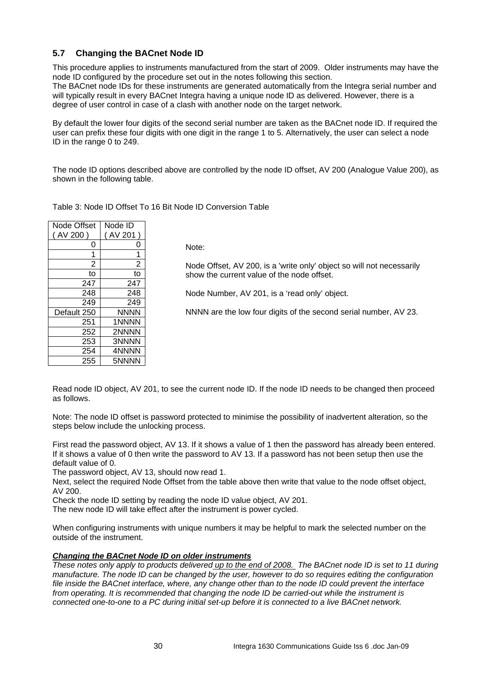## **5.7 Changing the BACnet Node ID**

This procedure applies to instruments manufactured from the start of 2009. Older instruments may have the node ID configured by the procedure set out in the notes following this section.

The BACnet node IDs for these instruments are generated automatically from the Integra serial number and will typically result in every BACnet Integra having a unique node ID as delivered. However, there is a degree of user control in case of a clash with another node on the target network.

By default the lower four digits of the second serial number are taken as the BACnet node ID. If required the user can prefix these four digits with one digit in the range 1 to 5. Alternatively, the user can select a node ID in the range 0 to 249.

The node ID options described above are controlled by the node ID offset, AV 200 (Analogue Value 200), as shown in the following table.

Table 3: Node ID Offset To 16 Bit Node ID Conversion Table

| <b>Node Offset</b> | Node ID |
|--------------------|---------|
| (AV 200)           | (AV 201 |
| 0                  | 0       |
| 1                  | 1       |
| 2                  | 2       |
| to                 | to      |
| 247                | 247     |
| 248                | 248     |
| 249                | 249     |
| Default 250        | NNNN    |
| 251                | 1NNNN   |
| 252                | 2NNNN   |
| 253                | 3NNNN   |
| 254                | 4NNNN   |
| 255                | 5NNNN   |

Note:

Node Offset, AV 200, is a 'write only' object so will not necessarily show the current value of the node offset.

Node Number, AV 201, is a 'read only' object.

NNNN are the low four digits of the second serial number, AV 23.

Read node ID object, AV 201, to see the current node ID. If the node ID needs to be changed then proceed as follows.

Note: The node ID offset is password protected to minimise the possibility of inadvertent alteration, so the steps below include the unlocking process.

First read the password object, AV 13. If it shows a value of 1 then the password has already been entered. If it shows a value of 0 then write the password to AV 13. If a password has not been setup then use the default value of 0.

The password object, AV 13, should now read 1.

Next, select the required Node Offset from the table above then write that value to the node offset object, AV 200.

Check the node ID setting by reading the node ID value object, AV 201.

The new node ID will take effect after the instrument is power cycled.

When configuring instruments with unique numbers it may be helpful to mark the selected number on the outside of the instrument.

### *Changing the BACnet Node ID on older instruments*

*These notes only apply to products delivered up to the end of 2008. The BACnet node ID is set to 11 during manufacture. The node ID can be changed by the user, however to do so requires editing the configuration file inside the BACnet interface, where, any change other than to the node ID could prevent the interface from operating. It is recommended that changing the node ID be carried-out while the instrument is connected one-to-one to a PC during initial set-up before it is connected to a live BACnet network.*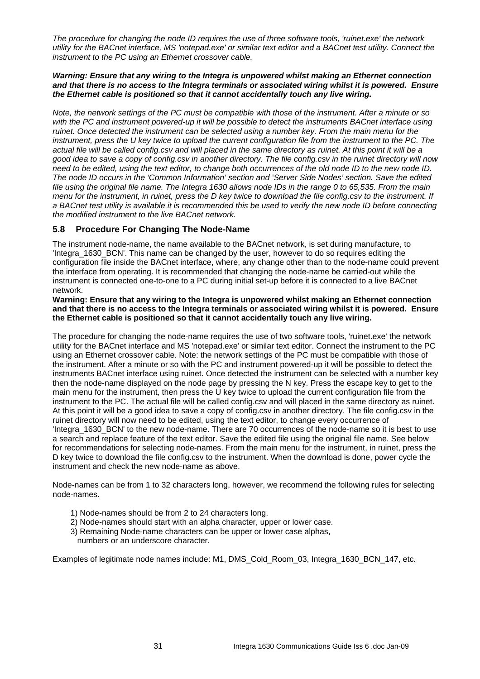*The procedure for changing the node ID requires the use of three software tools, 'ruinet.exe' the network utility for the BACnet interface, MS 'notepad.exe' or similar text editor and a BACnet test utility. Connect the instrument to the PC using an Ethernet crossover cable.* 

#### *Warning: Ensure that any wiring to the Integra is unpowered whilst making an Ethernet connection and that there is no access to the Integra terminals or associated wiring whilst it is powered. Ensure the Ethernet cable is positioned so that it cannot accidentally touch any live wiring.*

*Note, the network settings of the PC must be compatible with those of the instrument. After a minute or so with the PC and instrument powered-up it will be possible to detect the instruments BACnet interface using ruinet. Once detected the instrument can be selected using a number key. From the main menu for the instrument, press the U key twice to upload the current configuration file from the instrument to the PC. The actual file will be called config.csv and will placed in the same directory as ruinet. At this point it will be a good idea to save a copy of config.csv in another directory. The file config.csv in the ruinet directory will now need to be edited, using the text editor, to change both occurrences of the old node ID to the new node ID. The node ID occurs in the 'Common Information' section and 'Server Side Nodes' section. Save the edited file using the original file name. The Integra 1630 allows node IDs in the range 0 to 65,535. From the main menu for the instrument, in ruinet, press the D key twice to download the file config.csv to the instrument. If a BACnet test utility is available it is recommended this be used to verify the new node ID before connecting the modified instrument to the live BACnet network.* 

## **5.8 Procedure For Changing The Node-Name**

The instrument node-name, the name available to the BACnet network, is set during manufacture, to 'Integra\_1630\_BCN'. This name can be changed by the user, however to do so requires editing the configuration file inside the BACnet interface, where, any change other than to the node-name could prevent the interface from operating. It is recommended that changing the node-name be carried-out while the instrument is connected one-to-one to a PC during initial set-up before it is connected to a live BACnet network.

#### **Warning: Ensure that any wiring to the Integra is unpowered whilst making an Ethernet connection and that there is no access to the Integra terminals or associated wiring whilst it is powered. Ensure the Ethernet cable is positioned so that it cannot accidentally touch any live wiring.**

The procedure for changing the node-name requires the use of two software tools, 'ruinet.exe' the network utility for the BACnet interface and MS 'notepad.exe' or similar text editor. Connect the instrument to the PC using an Ethernet crossover cable. Note: the network settings of the PC must be compatible with those of the instrument. After a minute or so with the PC and instrument powered-up it will be possible to detect the instruments BACnet interface using ruinet. Once detected the instrument can be selected with a number key then the node-name displayed on the node page by pressing the N key. Press the escape key to get to the main menu for the instrument, then press the U key twice to upload the current configuration file from the instrument to the PC. The actual file will be called config.csv and will placed in the same directory as ruinet. At this point it will be a good idea to save a copy of config.csv in another directory. The file config.csv in the ruinet directory will now need to be edited, using the text editor, to change every occurrence of 'Integra\_1630\_BCN' to the new node-name. There are 70 occurrences of the node-name so it is best to use a search and replace feature of the text editor. Save the edited file using the original file name. See below for recommendations for selecting node-names. From the main menu for the instrument, in ruinet, press the D key twice to download the file config.csy to the instrument. When the download is done, power cycle the instrument and check the new node-name as above.

Node-names can be from 1 to 32 characters long, however, we recommend the following rules for selecting node-names.

- 1) Node-names should be from 2 to 24 characters long.
- 2) Node-names should start with an alpha character, upper or lower case.
- 3) Remaining Node-name characters can be upper or lower case alphas, numbers or an underscore character.

Examples of legitimate node names include: M1, DMS\_Cold\_Room\_03, Integra\_1630\_BCN\_147, etc.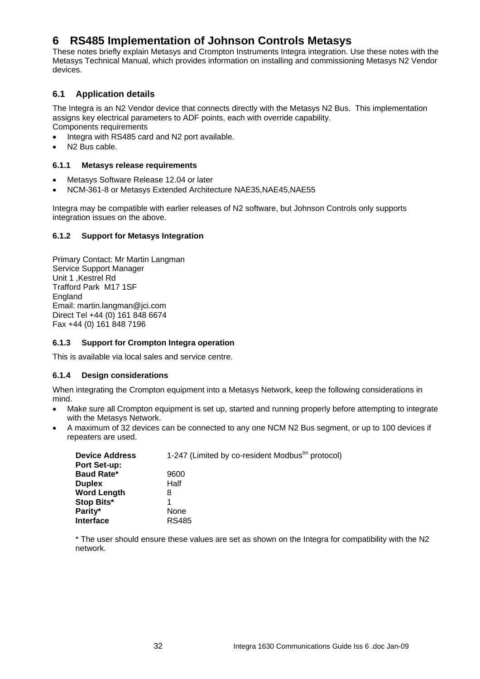# **6 RS485 Implementation of Johnson Controls Metasys**

These notes briefly explain Metasys and Crompton Instruments Integra integration. Use these notes with the Metasys Technical Manual, which provides information on installing and commissioning Metasys N2 Vendor devices.

## **6.1 Application details**

The Integra is an N2 Vendor device that connects directly with the Metasys N2 Bus. This implementation assigns key electrical parameters to ADF points, each with override capability. Components requirements

- Integra with RS485 card and N2 port available.
- N<sub>2</sub> Bus cable.

### **6.1.1 Metasys release requirements**

- Metasys Software Release 12.04 or later
- NCM-361-8 or Metasys Extended Architecture NAE35,NAE45,NAE55

Integra may be compatible with earlier releases of N2 software, but Johnson Controls only supports integration issues on the above.

### **6.1.2 Support for Metasys Integration**

Primary Contact: Mr Martin Langman Service Support Manager Unit 1, Kestrel Rd Trafford Park M17 1SF **England** Email: martin.langman@jci.com Direct Tel +44 (0) 161 848 6674 Fax +44 (0) 161 848 7196

### **6.1.3 Support for Crompton Integra operation**

This is available via local sales and service centre.

### **6.1.4 Design considerations**

When integrating the Crompton equipment into a Metasys Network, keep the following considerations in mind.

- Make sure all Crompton equipment is set up, started and running properly before attempting to integrate with the Metasys Network.
- A maximum of 32 devices can be connected to any one NCM N2 Bus segment, or up to 100 devices if repeaters are used.

| <b>Device Address</b><br>Port Set-up: | 1-247 (Limited by co-resident Modbus <sup>tm</sup> protocol) |
|---------------------------------------|--------------------------------------------------------------|
| <b>Baud Rate*</b>                     |                                                              |
|                                       | 9600                                                         |
| <b>Duplex</b>                         | Half                                                         |
| <b>Word Length</b>                    | 8                                                            |
| Stop Bits*                            |                                                              |
| Parity*                               | None                                                         |
| <b>Interface</b>                      | <b>RS485</b>                                                 |

\* The user should ensure these values are set as shown on the Integra for compatibility with the N2 network.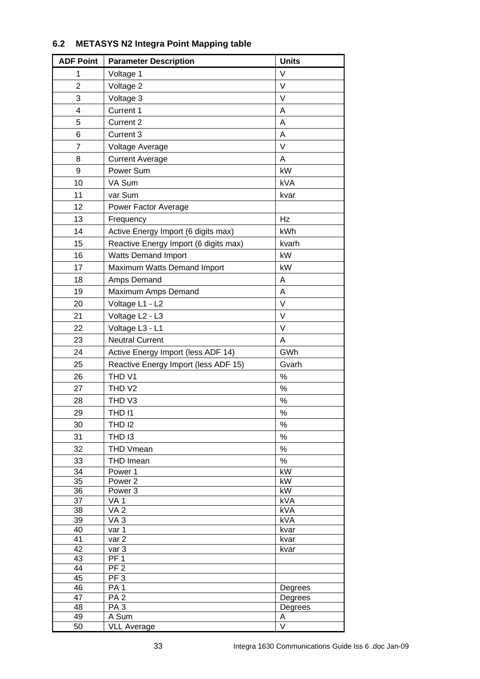| <b>ADF Point</b>        | <b>Parameter Description</b>          | <b>Units</b>            |
|-------------------------|---------------------------------------|-------------------------|
| 1                       | Voltage 1                             | $\vee$                  |
| $\overline{2}$          | Voltage 2                             | $\vee$                  |
| 3                       | Voltage 3                             | V                       |
| $\overline{\mathbf{4}}$ | Current 1                             | A                       |
| 5                       | Current 2                             | A                       |
| 6                       | Current 3                             | A                       |
| $\overline{7}$          | Voltage Average                       | V                       |
| 8                       | <b>Current Average</b>                | A                       |
| 9                       | Power Sum                             | kW                      |
| 10                      | VA Sum                                | kVA                     |
| 11                      | var Sum                               | kvar                    |
|                         |                                       |                         |
| 12                      | Power Factor Average                  |                         |
| 13                      | Frequency                             | Hz                      |
| 14                      | Active Energy Import (6 digits max)   | kWh                     |
| 15                      | Reactive Energy Import (6 digits max) | kvarh                   |
| 16                      | <b>Watts Demand Import</b>            | kW                      |
| 17                      | Maximum Watts Demand Import           | kW                      |
| 18                      | Amps Demand                           | A                       |
| 19                      | Maximum Amps Demand                   | A                       |
| 20                      | Voltage L1 - L2                       | $\vee$                  |
| 21                      | Voltage L2 - L3                       | V                       |
| 22                      | Voltage L3 - L1                       | $\vee$                  |
| 23                      | <b>Neutral Current</b>                | A                       |
| 24                      | Active Energy Import (less ADF 14)    | GWh                     |
| 25                      | Reactive Energy Import (less ADF 15)  | Gvarh                   |
| 26                      | THD <sub>V1</sub>                     | $\%$                    |
| 27                      | THD <sub>V2</sub>                     | $\%$                    |
| 28                      | THD <sub>V3</sub>                     | $\%$                    |
| 29                      | THD I1                                | $\%$                    |
| 30                      | <b>THD 12</b>                         | ℅                       |
| 31                      | THD I3                                | $\%$                    |
| 32                      | <b>THD Vmean</b>                      | $\%$                    |
| 33                      | THD Imean                             | $\%$                    |
| 34                      | Power 1                               | kW                      |
| 35                      | Power <sub>2</sub>                    | kW                      |
| 36                      | Power <sub>3</sub>                    | kW                      |
| 37                      | VA <sub>1</sub>                       | kVA                     |
| 38                      | VA <sub>2</sub>                       | kVA                     |
| 39<br>40                | VA <sub>3</sub><br>var 1              | <b>kVA</b><br>kvar      |
| 41                      | var <sub>2</sub>                      | kvar                    |
| 42                      | var 3                                 | kvar                    |
| 43                      | PF <sub>1</sub>                       |                         |
| 44                      | PF <sub>2</sub>                       |                         |
| 45                      | PF <sub>3</sub><br>PA <sub>1</sub>    |                         |
| 46<br>47                | PA <sub>2</sub>                       | Degrees<br>Degrees      |
| 48                      | PA <sub>3</sub>                       | Degrees                 |
| 49                      | A Sum                                 | A                       |
| 50                      | <b>VLL Average</b>                    | $\overline{\mathsf{V}}$ |

# **6.2 METASYS N2 Integra Point Mapping table**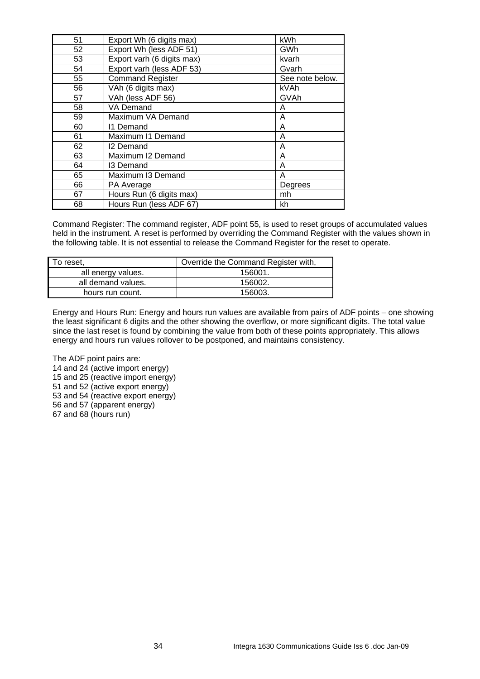| 51 | Export Wh (6 digits max)   | kWh             |
|----|----------------------------|-----------------|
| 52 | Export Wh (less ADF 51)    | GWh             |
| 53 | Export varh (6 digits max) | kvarh           |
| 54 | Export varh (less ADF 53)  | Gvarh           |
| 55 | <b>Command Register</b>    | See note below. |
| 56 | VAh (6 digits max)         | kVAh            |
| 57 | VAh (less ADF 56)          | GVAh            |
| 58 | VA Demand                  | A               |
| 59 | Maximum VA Demand          | A               |
| 60 | 11 Demand                  | A               |
| 61 | Maximum I1 Demand          | A               |
| 62 | 12 Demand                  | A               |
| 63 | Maximum I2 Demand          | A               |
| 64 | 13 Demand                  | A               |
| 65 | Maximum I3 Demand          | A               |
| 66 | PA Average                 | Degrees         |
| 67 | Hours Run (6 digits max)   | mh              |
| 68 | Hours Run (less ADF 67)    | kh              |

Command Register: The command register, ADF point 55, is used to reset groups of accumulated values held in the instrument. A reset is performed by overriding the Command Register with the values shown in the following table. It is not essential to release the Command Register for the reset to operate.

| To reset.          | Override the Command Register with, |
|--------------------|-------------------------------------|
| all energy values. | 156001.                             |
| all demand values. | 156002.                             |
| hours run count.   | 156003.                             |

Energy and Hours Run: Energy and hours run values are available from pairs of ADF points – one showing the least significant 6 digits and the other showing the overflow, or more significant digits. The total value since the last reset is found by combining the value from both of these points appropriately. This allows energy and hours run values rollover to be postponed, and maintains consistency.

The ADF point pairs are: 14 and 24 (active import energy) 15 and 25 (reactive import energy) 51 and 52 (active export energy) 53 and 54 (reactive export energy) 56 and 57 (apparent energy) 67 and 68 (hours run)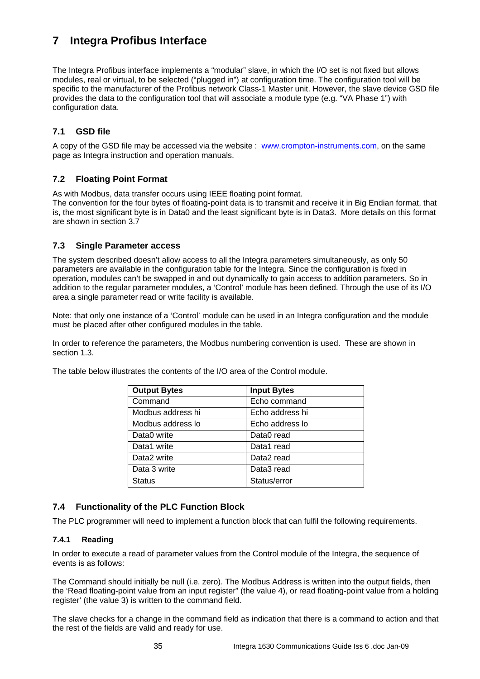# **7 Integra Profibus Interface**

The Integra Profibus interface implements a "modular" slave, in which the I/O set is not fixed but allows modules, real or virtual, to be selected ("plugged in") at configuration time. The configuration tool will be specific to the manufacturer of the Profibus network Class-1 Master unit. However, the slave device GSD file provides the data to the configuration tool that will associate a module type (e.g. "VA Phase 1") with configuration data.

# **7.1 GSD file**

A copy of the GSD file may be accessed via the website : www.crompton-instruments.com, on the same page as Integra instruction and operation manuals.

# **7.2 Floating Point Format**

As with Modbus, data transfer occurs using IEEE floating point format.

The convention for the four bytes of floating-point data is to transmit and receive it in Big Endian format, that is, the most significant byte is in Data0 and the least significant byte is in Data3. More details on this format are shown in section 3.7

## **7.3 Single Parameter access**

The system described doesn't allow access to all the Integra parameters simultaneously, as only 50 parameters are available in the configuration table for the Integra. Since the configuration is fixed in operation, modules can't be swapped in and out dynamically to gain access to addition parameters. So in addition to the regular parameter modules, a 'Control' module has been defined. Through the use of its I/O area a single parameter read or write facility is available.

Note: that only one instance of a 'Control' module can be used in an Integra configuration and the module must be placed after other configured modules in the table.

In order to reference the parameters, the Modbus numbering convention is used. These are shown in section 1.3.

| The table below illustrates the contents of the I/O area of the Control module. |
|---------------------------------------------------------------------------------|
|---------------------------------------------------------------------------------|

| <b>Output Bytes</b> | <b>Input Bytes</b> |
|---------------------|--------------------|
| Command             | Echo command       |
| Modbus address hi   | Echo address hi    |
| Modbus address lo   | Echo address lo    |
| Data0 write         | Data0 read         |
| Data1 write         | Data1 read         |
| Data2 write         | Data2 read         |
| Data 3 write        | Data3 read         |
| <b>Status</b>       | Status/error       |

## **7.4 Functionality of the PLC Function Block**

The PLC programmer will need to implement a function block that can fulfil the following requirements.

### **7.4.1 Reading**

In order to execute a read of parameter values from the Control module of the Integra, the sequence of events is as follows:

The Command should initially be null (i.e. zero). The Modbus Address is written into the output fields, then the 'Read floating-point value from an input register" (the value 4), or read floating-point value from a holding register' (the value 3) is written to the command field.

The slave checks for a change in the command field as indication that there is a command to action and that the rest of the fields are valid and ready for use.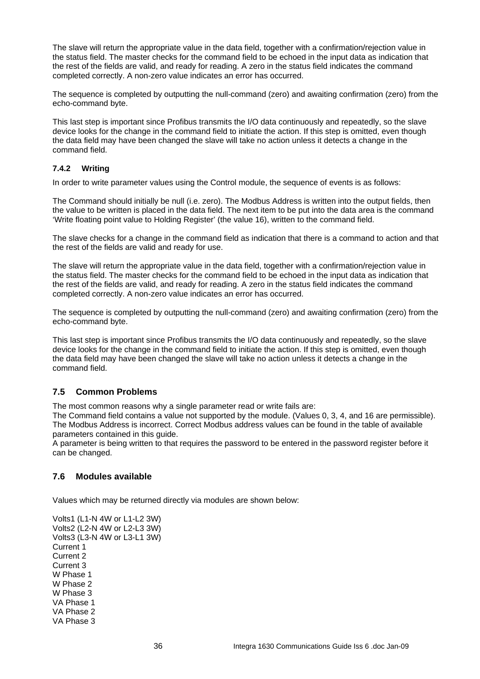The slave will return the appropriate value in the data field, together with a confirmation/rejection value in the status field. The master checks for the command field to be echoed in the input data as indication that the rest of the fields are valid, and ready for reading. A zero in the status field indicates the command completed correctly. A non-zero value indicates an error has occurred.

The sequence is completed by outputting the null-command (zero) and awaiting confirmation (zero) from the echo-command byte.

This last step is important since Profibus transmits the I/O data continuously and repeatedly, so the slave device looks for the change in the command field to initiate the action. If this step is omitted, even though the data field may have been changed the slave will take no action unless it detects a change in the command field.

### **7.4.2 Writing**

In order to write parameter values using the Control module, the sequence of events is as follows:

The Command should initially be null (i.e. zero). The Modbus Address is written into the output fields, then the value to be written is placed in the data field. The next item to be put into the data area is the command 'Write floating point value to Holding Register' (the value 16), written to the command field.

The slave checks for a change in the command field as indication that there is a command to action and that the rest of the fields are valid and ready for use.

The slave will return the appropriate value in the data field, together with a confirmation/rejection value in the status field. The master checks for the command field to be echoed in the input data as indication that the rest of the fields are valid, and ready for reading. A zero in the status field indicates the command completed correctly. A non-zero value indicates an error has occurred.

The sequence is completed by outputting the null-command (zero) and awaiting confirmation (zero) from the echo-command byte.

This last step is important since Profibus transmits the I/O data continuously and repeatedly, so the slave device looks for the change in the command field to initiate the action. If this step is omitted, even though the data field may have been changed the slave will take no action unless it detects a change in the command field.

# **7.5 Common Problems**

The most common reasons why a single parameter read or write fails are:

The Command field contains a value not supported by the module. (Values 0, 3, 4, and 16 are permissible). The Modbus Address is incorrect. Correct Modbus address values can be found in the table of available parameters contained in this guide.

A parameter is being written to that requires the password to be entered in the password register before it can be changed.

### **7.6 Modules available**

Values which may be returned directly via modules are shown below:

Volts1 (L1-N 4W or L1-L2 3W) Volts2 (L2-N 4W or L2-L3 3W) Volts3 (L3-N 4W or L3-L1 3W) Current 1 Current 2 Current 3 W Phase 1 W Phase 2 W Phase 3 VA Phase 1 VA Phase 2 VA Phase 3